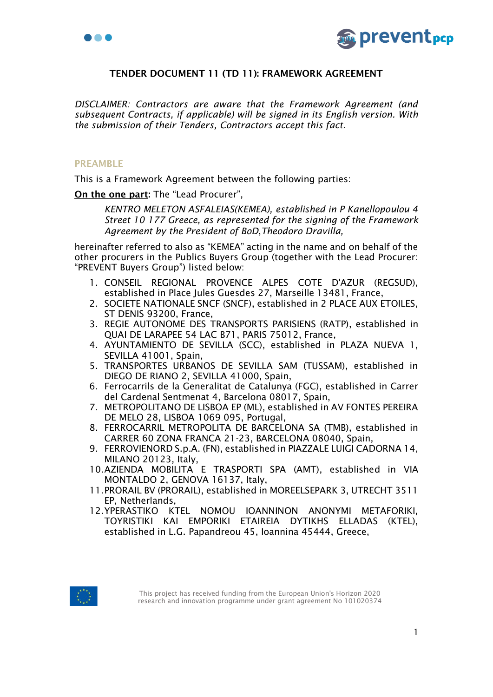



# TENDER DOCUMENT 11 (TD 11): FRAMEWORK AGREEMENT

*DISCLAIMER: Contractors are aware that the Framework Agreement (and subsequent Contracts, if applicable) will be signed in its English version. With the submission of their Tenders, Contractors accept this fact.*

#### PREAMBLE

This is a Framework Agreement between the following parties:

On the one part: The "Lead Procurer",

*KENTRO MELETON ASFALEIAS(KEMEA), established in P Kanellopoulou 4 Street 10 177 Greece, as represented for the signing of the Framework Agreement by the President of BoD*,*Theodoro Dravilla,* 

hereinafter referred to also as "KEMEA" acting in the name and on behalf of the other procurers in the Publics Buyers Group (together with the Lead Procurer: "PREVENT Buyers Group") listed below:

- 1. CONSEIL REGIONAL PROVENCE ALPES COTE D'AZUR (REGSUD), established in Place Jules Guesdes 27, Marseille 13481, France,
- 2. SOCIETE NATIONALE SNCF (SNCF), established in 2 PLACE AUX ETOILES, ST DENIS 93200, France,
- 3. REGIE AUTONOME DES TRANSPORTS PARISIENS (RATP), established in QUAI DE LARAPEE 54 LAC B71, PARIS 75012, France,
- 4. AYUNTAMIENTO DE SEVILLA (SCC), established in PLAZA NUEVA 1, SEVILLA 41001, Spain,
- 5. TRANSPORTES URBANOS DE SEVILLA SAM (TUSSAM), established in DIEGO DE RIANO 2, SEVILLA 41000, Spain,
- 6. Ferrocarrils de la Generalitat de Catalunya (FGC), established in Carrer del Cardenal Sentmenat 4, Barcelona 08017, Spain,
- 7. METROPOLITANO DE LISBOA EP (ML), established in AV FONTES PEREIRA DE MELO 28, LISBOA 1069 095, Portugal,
- 8. FERROCARRIL METROPOLITA DE BARCELONA SA (TMB), established in CARRER 60 ZONA FRANCA 21-23, BARCELONA 08040, Spain,
- 9. FERROVIENORD S.p.A. (FN), established in PIAZZALE LUIGI CADORNA 14, MILANO 20123, Italy,
- 10.AZIENDA MOBILITA E TRASPORTI SPA (AMT), established in VIA MONTALDO 2, GENOVA 16137, Italy,
- 11.PRORAIL BV (PRORAIL), established in MOREELSEPARK 3, UTRECHT 3511 EP, Netherlands,
- 12.YPERASTIKO KTEL NOMOU IOANNINON ANONYMI METAFORIKI, TOYRISTIKI KAI EMPORIKI ETAIREIA DYTIKHS ELLADAS (KTEL), established in L.G. Papandreou 45, Ioannina 45444, Greece,

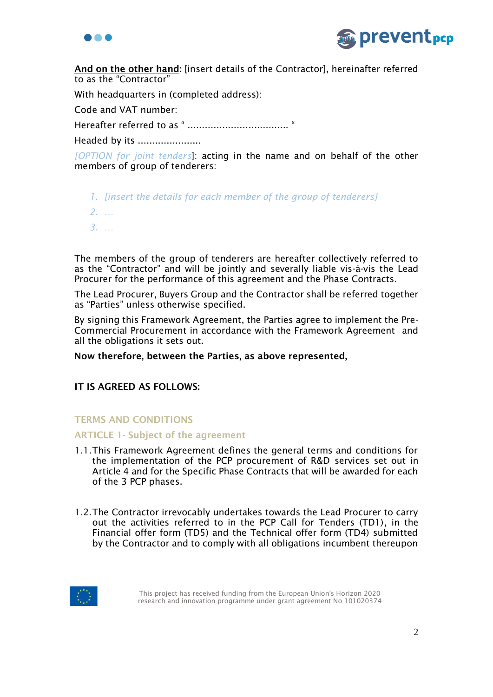



And on the other hand: [insert details of the Contractor], hereinafter referred to as the "Contractor"

With headquarters in (completed address):

Code and VAT number:

Hereafter referred to as " ................................... "

Headed by its ......................

*[OPTION for joint tenders*]: acting in the name and on behalf of the other members of group of tenderers:

*1. [insert the details for each member of the group of tenderers] 2. … 3. …*

The members of the group of tenderers are hereafter collectively referred to as the "Contractor" and will be jointly and severally liable vis-à-vis the Lead Procurer for the performance of this agreement and the Phase Contracts.

The Lead Procurer, Buyers Group and the Contractor shall be referred together as "Parties" unless otherwise specified.

By signing this Framework Agreement, the Parties agree to implement the Pre-Commercial Procurement in accordance with the Framework Agreement and all the obligations it sets out.

Now therefore, between the Parties, as above represented,

# IT IS AGREED AS FOLLOWS:

### TERMS AND CONDITIONS

### ARTICLE 1- Subject of the agreement

- 1.1.This Framework Agreement defines the general terms and conditions for the implementation of the PCP procurement of R&D services set out in Article 4 and for the Specific Phase Contracts that will be awarded for each of the 3 PCP phases.
- 1.2.The Contractor irrevocably undertakes towards the Lead Procurer to carry out the activities referred to in the PCP Call for Tenders (TD1), in the Financial offer form (TD5) and the Technical offer form (TD4) submitted by the Contractor and to comply with all obligations incumbent thereupon

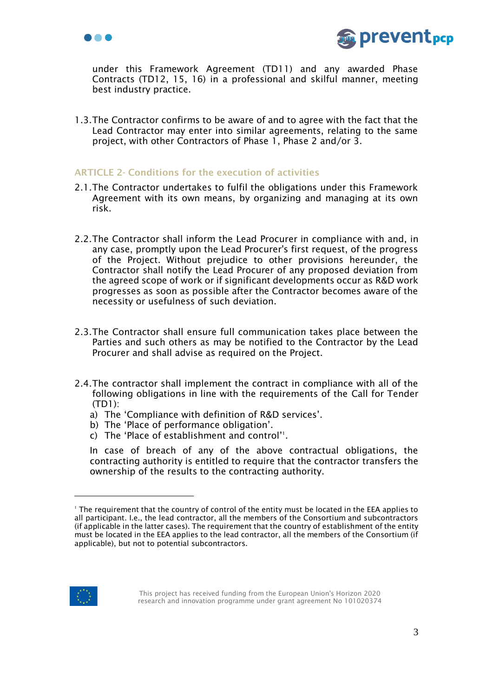



under this Framework Agreement (TD11) and any awarded Phase Contracts (TD12, 15, 16) in a professional and skilful manner, meeting best industry practice.

1.3.The Contractor confirms to be aware of and to agree with the fact that the Lead Contractor may enter into similar agreements, relating to the same project, with other Contractors of Phase 1, Phase 2 and/or 3.

### ARTICLE 2- Conditions for the execution of activities

- 2.1.The Contractor undertakes to fulfil the obligations under this Framework Agreement with its own means, by organizing and managing at its own risk.
- 2.2.The Contractor shall inform the Lead Procurer in compliance with and, in any case, promptly upon the Lead Procurer's first request, of the progress of the Project. Without prejudice to other provisions hereunder, the Contractor shall notify the Lead Procurer of any proposed deviation from the agreed scope of work or if significant developments occur as R&D work progresses as soon as possible after the Contractor becomes aware of the necessity or usefulness of such deviation.
- 2.3.The Contractor shall ensure full communication takes place between the Parties and such others as may be notified to the Contractor by the Lead Procurer and shall advise as required on the Project.
- 2.4.The contractor shall implement the contract in compliance with all of the following obligations in line with the requirements of the Call for Tender (TD1):
	- a) The 'Compliance with definition of R&D services'.
	- b) The 'Place of performance obligation'.
	- c) The 'Place of establishment and control'<sup>1</sup>.

In case of breach of any of the above contractual obligations, the contracting authority is entitled to require that the contractor transfers the ownership of the results to the contracting authority.



<sup>&</sup>lt;sup>1</sup> The requirement that the country of control of the entity must be located in the EEA applies to all participant. I.e., the lead contractor, all the members of the Consortium and subcontractors (if applicable in the latter cases). The requirement that the country of establishment of the entity must be located in the EEA applies to the lead contractor, all the members of the Consortium (if applicable), but not to potential subcontractors.

This project has received funding from the European Union's Horizon 2020 research and innovation programme under grant agreement No 101020374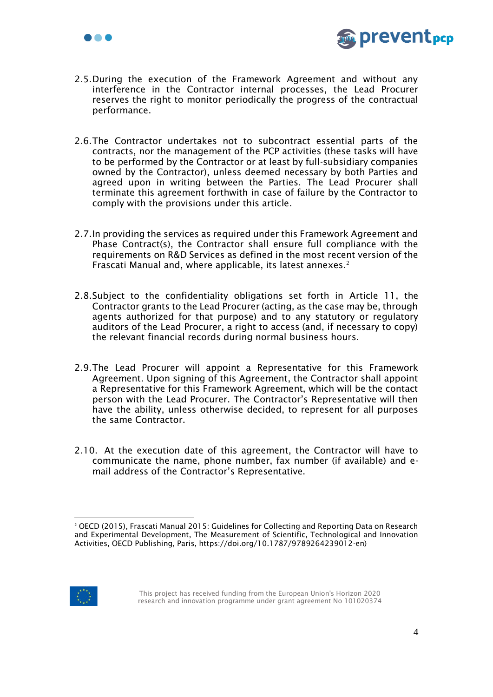



- 2.5.During the execution of the Framework Agreement and without any interference in the Contractor internal processes, the Lead Procurer reserves the right to monitor periodically the progress of the contractual performance.
- 2.6.The Contractor undertakes not to subcontract essential parts of the contracts, nor the management of the PCP activities (these tasks will have to be performed by the Contractor or at least by full-subsidiary companies owned by the Contractor), unless deemed necessary by both Parties and agreed upon in writing between the Parties. The Lead Procurer shall terminate this agreement forthwith in case of failure by the Contractor to comply with the provisions under this article.
- 2.7.In providing the services as required under this Framework Agreement and Phase Contract(s), the Contractor shall ensure full compliance with the requirements on R&D Services as defined in the most recent version of the Frascati Manual and, where applicable, its latest annexes.<sup>2</sup>
- 2.8.Subject to the confidentiality obligations set forth in [Article 11,](#page-15-0) the Contractor grants to the Lead Procurer (acting, as the case may be, through agents authorized for that purpose) and to any statutory or regulatory auditors of the Lead Procurer, a right to access (and, if necessary to copy) the relevant financial records during normal business hours.
- 2.9.The Lead Procurer will appoint a Representative for this Framework Agreement. Upon signing of this Agreement, the Contractor shall appoint a Representative for this Framework Agreement, which will be the contact person with the Lead Procurer. The Contractor's Representative will then have the ability, unless otherwise decided, to represent for all purposes the same Contractor.
- 2.10. At the execution date of this agreement, the Contractor will have to communicate the name, phone number, fax number (if available) and email address of the Contractor's Representative.



<sup>2</sup> OECD (2015), Frascati Manual 2015: Guidelines for Collecting and Reporting Data on Research and Experimental Development, The Measurement of Scientific, Technological and Innovation Activities, OECD Publishing, Paris, https://doi.org/10.1787/9789264239012-en)

This project has received funding from the European Union's Horizon 2020 research and innovation programme under grant agreement No 101020374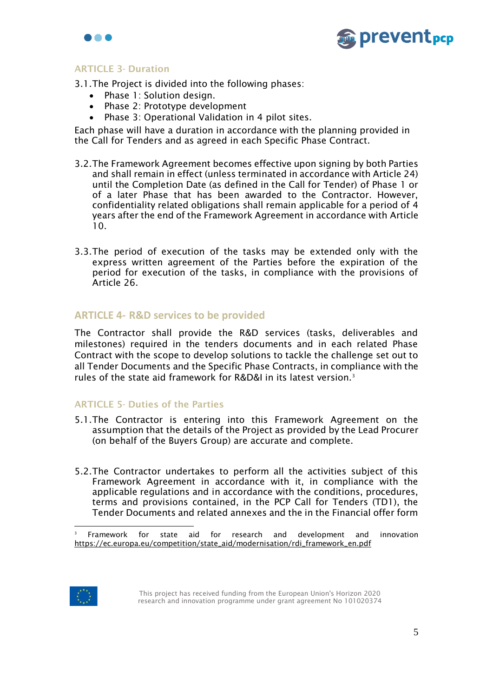



# ARTICLE 3- Duration

3.1.The Project is divided into the following phases:

- Phase 1: Solution design.
- Phase 2: Prototype development
- Phase 3: Operational Validation in 4 pilot sites.

Each phase will have a duration in accordance with the planning provided in the Call for Tenders and as agreed in each Specific Phase Contract.

- 3.2.The Framework Agreement becomes effective upon signing by both Parties and shall remain in effect (unless terminated in accordance with Article 24) until the Completion Date (as defined in the Call for Tender) of Phase 1 or of a later Phase that has been awarded to the Contractor. However, confidentiality related obligations shall remain applicable for a period of 4 years after the end of the Framework Agreement in accordance with [Article](#page-15-0) 10.
- 3.3.The period of execution of the tasks may be extended only with the express written agreement of the Parties before the expiration of the period for execution of the tasks, in compliance with the provisions of Article 26.

# **ARTICLE 4- R&D services to be provided**

The Contractor shall provide the R&D services (tasks, deliverables and milestones) required in the tenders documents and in each related Phase Contract with the scope to develop solutions to tackle the challenge set out to all Tender Documents and the Specific Phase Contracts, in compliance with the rules of the state aid framework for R&D&I in its latest version.<sup>3</sup>

### **ARTICLE 5- Duties of the Parties**

- 5.1.The Contractor is entering into this Framework Agreement on the assumption that the details of the Project as provided by the Lead Procurer (on behalf of the Buyers Group) are accurate and complete.
- 5.2.The Contractor undertakes to perform all the activities subject of this Framework Agreement in accordance with it, in compliance with the applicable regulations and in accordance with the conditions, procedures, terms and provisions contained, in the PCP Call for Tenders (TD1), the Tender Documents and related annexes and the in the Financial offer form



<sup>3</sup> Framework for state aid for research and development and innovation [https://ec.europa.eu/competition/state\\_aid/modernisation/rdi\\_framework\\_en.pdf](https://ec.europa.eu/competition/state_aid/modernisation/rdi_framework_en.pdf)

This project has received funding from the European Union's Horizon 2020 research and innovation programme under grant agreement No 101020374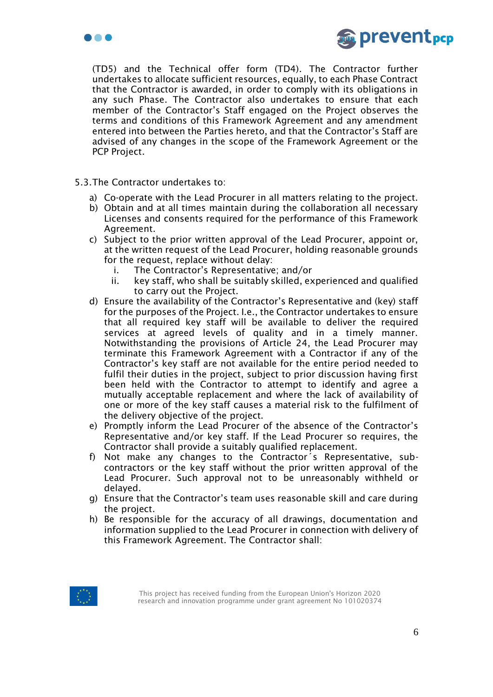



(TD5) and the Technical offer form (TD4). The Contractor further undertakes to allocate sufficient resources, equally, to each Phase Contract that the Contractor is awarded, in order to comply with its obligations in any such Phase. The Contractor also undertakes to ensure that each member of the Contractor's Staff engaged on the Project observes the terms and conditions of this Framework Agreement and any amendment entered into between the Parties hereto, and that the Contractor's Staff are advised of any changes in the scope of the Framework Agreement or the PCP Project.

- 5.3.The Contractor undertakes to:
	- a) Co-operate with the Lead Procurer in all matters relating to the project.
	- b) Obtain and at all times maintain during the collaboration all necessary Licenses and consents required for the performance of this Framework Agreement.
	- c) Subject to the prior written approval of the Lead Procurer, appoint or, at the written request of the Lead Procurer, holding reasonable grounds for the request, replace without delay:
		- i. The Contractor's Representative; and/or
		- ii. key staff, who shall be suitably skilled, experienced and qualified to carry out the Project.
	- d) Ensure the availability of the Contractor's Representative and (key) staff for the purposes of the Project. I.e., the Contractor undertakes to ensure that all required key staff will be available to deliver the required services at agreed levels of quality and in a timely manner. Notwithstanding the provisions of Article 24, the Lead Procurer may terminate this Framework Agreement with a Contractor if any of the Contractor's key staff are not available for the entire period needed to fulfil their duties in the project, subject to prior discussion having first been held with the Contractor to attempt to identify and agree a mutually acceptable replacement and where the lack of availability of one or more of the key staff causes a material risk to the fulfilment of the delivery objective of the project.
	- e) Promptly inform the Lead Procurer of the absence of the Contractor's Representative and/or key staff. If the Lead Procurer so requires, the Contractor shall provide a suitably qualified replacement.
	- f) Not make any changes to the Contractor´s Representative, subcontractors or the key staff without the prior written approval of the Lead Procurer. Such approval not to be unreasonably withheld or delayed.
	- g) Ensure that the Contractor's team uses reasonable skill and care during the project.
	- h) Be responsible for the accuracy of all drawings, documentation and information supplied to the Lead Procurer in connection with delivery of this Framework Agreement. The Contractor shall:

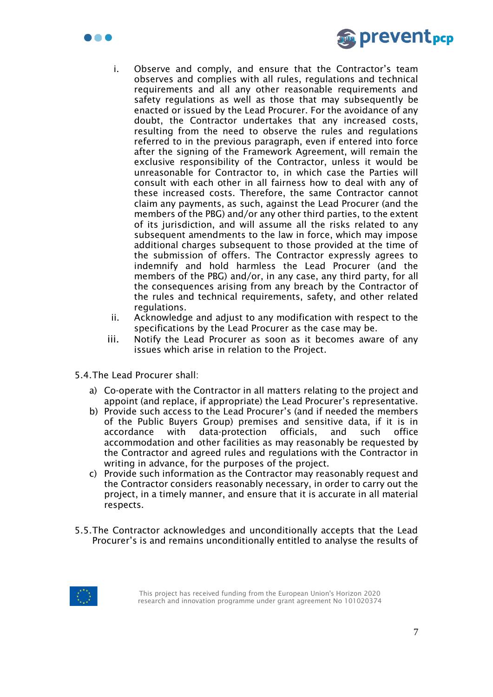



- i. Observe and comply, and ensure that the Contractor's team observes and complies with all rules, regulations and technical requirements and all any other reasonable requirements and safety regulations as well as those that may subsequently be enacted or issued by the Lead Procurer. For the avoidance of any doubt, the Contractor undertakes that any increased costs, resulting from the need to observe the rules and regulations referred to in the previous paragraph, even if entered into force after the signing of the Framework Agreement, will remain the exclusive responsibility of the Contractor, unless it would be unreasonable for Contractor to, in which case the Parties will consult with each other in all fairness how to deal with any of these increased costs. Therefore, the same Contractor cannot claim any payments, as such, against the Lead Procurer (and the members of the PBG) and/or any other third parties, to the extent of its jurisdiction, and will assume all the risks related to any subsequent amendments to the law in force, which may impose additional charges subsequent to those provided at the time of the submission of offers. The Contractor expressly agrees to indemnify and hold harmless the Lead Procurer (and the members of the PBG) and/or, in any case, any third party, for all the consequences arising from any breach by the Contractor of the rules and technical requirements, safety, and other related regulations.
- ii. Acknowledge and adjust to any modification with respect to the specifications by the Lead Procurer as the case may be.
- iii. Notify the Lead Procurer as soon as it becomes aware of any issues which arise in relation to the Project.
- 5.4.The Lead Procurer shall:
	- a) Co-operate with the Contractor in all matters relating to the project and appoint (and replace, if appropriate) the Lead Procurer's representative.
	- b) Provide such access to the Lead Procurer's (and if needed the members of the Public Buyers Group) premises and sensitive data, if it is in accordance with data-protection officials, and such office accommodation and other facilities as may reasonably be requested by the Contractor and agreed rules and regulations with the Contractor in writing in advance, for the purposes of the project.
	- c) Provide such information as the Contractor may reasonably request and the Contractor considers reasonably necessary, in order to carry out the project, in a timely manner, and ensure that it is accurate in all material respects.
- 5.5.The Contractor acknowledges and unconditionally accepts that the Lead Procurer's is and remains unconditionally entitled to analyse the results of

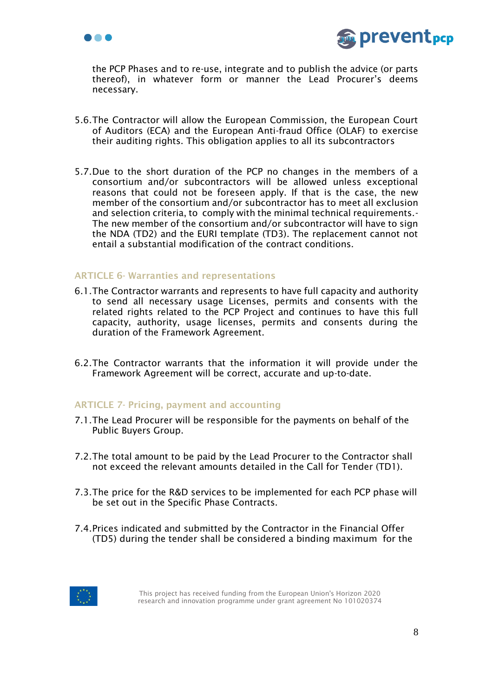



the PCP Phases and to re-use, integrate and to publish the advice (or parts thereof), in whatever form or manner the Lead Procurer's deems necessary.

- 5.6.The Contractor will allow the European Commission, the European Court of Auditors (ECA) and the European Anti-fraud Office (OLAF) to exercise their auditing rights. This obligation applies to all its subcontractors
- 5.7.Due to the short duration of the PCP no changes in the members of a consortium and/or subcontractors will be allowed unless exceptional reasons that could not be foreseen apply. If that is the case, the new member of the consortium and/or subcontractor has to meet all exclusion and selection criteria, to comply with the minimal technical requirements.- The new member of the consortium and/or subcontractor will have to sign the NDA (TD2) and the EURI template (TD3). The replacement cannot not entail a substantial modification of the contract conditions.

### ARTICLE 6- Warranties and representations

- 6.1.The Contractor warrants and represents to have full capacity and authority to send all necessary usage Licenses, permits and consents with the related rights related to the PCP Project and continues to have this full capacity, authority, usage licenses, permits and consents during the duration of the Framework Agreement.
- 6.2.The Contractor warrants that the information it will provide under the Framework Agreement will be correct, accurate and up-to-date.

### ARTICLE 7- Pricing, payment and accounting

- 7.1.The Lead Procurer will be responsible for the payments on behalf of the Public Buyers Group.
- 7.2.The total amount to be paid by the Lead Procurer to the Contractor shall not exceed the relevant amounts detailed in the Call for Tender (TD1).
- 7.3.The price for the R&D services to be implemented for each PCP phase will be set out in the Specific Phase Contracts.
- 7.4.Prices indicated and submitted by the Contractor in the Financial Offer (TD5) during the tender shall be considered a binding maximum for the

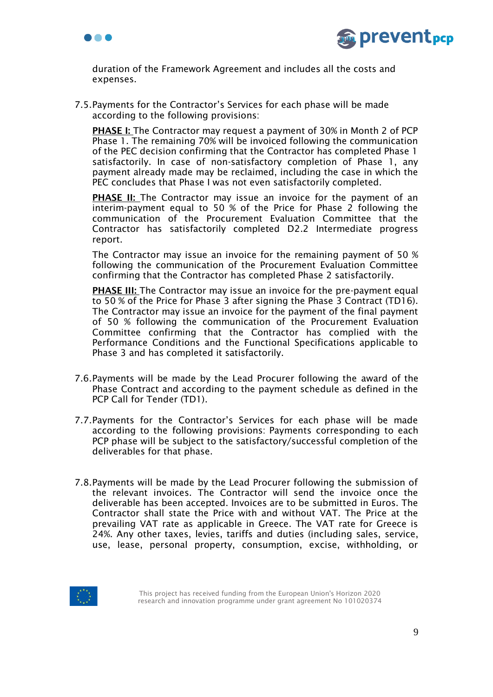



duration of the Framework Agreement and includes all the costs and expenses.

7.5.Payments for the Contractor's Services for each phase will be made according to the following provisions:

PHASE I: The Contractor may request a payment of 30% in Month 2 of PCP Phase 1. The remaining 70% will be invoiced following the communication of the PEC decision confirming that the Contractor has completed Phase 1 satisfactorily. In case of non-satisfactory completion of Phase 1, any payment already made may be reclaimed, including the case in which the PEC concludes that Phase I was not even satisfactorily completed.

**PHASE II:** The Contractor may issue an invoice for the payment of an interim-payment equal to 50 % of the Price for Phase 2 following the communication of the Procurement Evaluation Committee that the Contractor has satisfactorily completed D2.2 Intermediate progress report.

The Contractor may issue an invoice for the remaining payment of 50 % following the communication of the Procurement Evaluation Committee confirming that the Contractor has completed Phase 2 satisfactorily.

**PHASE III:** The Contractor may issue an invoice for the pre-payment equal to 50 % of the Price for Phase 3 after signing the Phase 3 Contract (TD16). The Contractor may issue an invoice for the payment of the final payment of 50 % following the communication of the Procurement Evaluation Committee confirming that the Contractor has complied with the Performance Conditions and the Functional Specifications applicable to Phase 3 and has completed it satisfactorily.

- 7.6.Payments will be made by the Lead Procurer following the award of the Phase Contract and according to the payment schedule as defined in the PCP Call for Tender (TD1).
- 7.7.Payments for the Contractor's Services for each phase will be made according to the following provisions: Payments corresponding to each PCP phase will be subject to the satisfactory/successful completion of the deliverables for that phase.
- 7.8.Payments will be made by the Lead Procurer following the submission of the relevant invoices. The Contractor will send the invoice once the deliverable has been accepted. Invoices are to be submitted in Euros. The Contractor shall state the Price with and without VAT. The Price at the prevailing VAT rate as applicable in Greece. The VAT rate for Greece is 24%. Any other taxes, levies, tariffs and duties (including sales, service, use, lease, personal property, consumption, excise, withholding, or

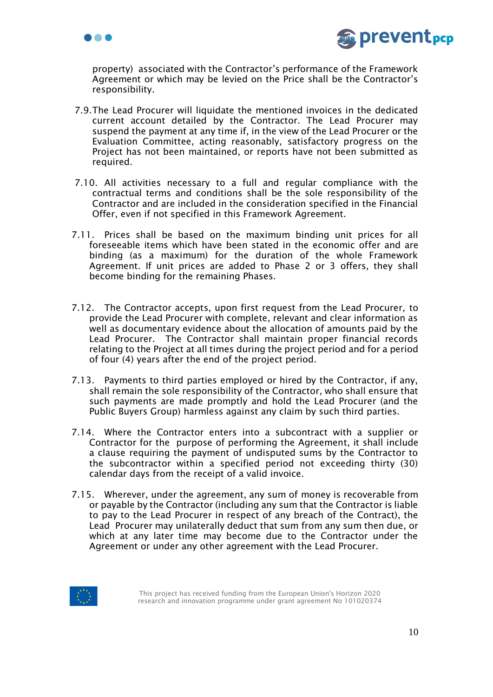



property) associated with the Contractor's performance of the Framework Agreement or which may be levied on the Price shall be the Contractor's responsibility.

- 7.9.The Lead Procurer will liquidate the mentioned invoices in the dedicated current account detailed by the Contractor. The Lead Procurer may suspend the payment at any time if, in the view of the Lead Procurer or the Evaluation Committee, acting reasonably, satisfactory progress on the Project has not been maintained, or reports have not been submitted as required.
- 7.10. All activities necessary to a full and regular compliance with the contractual terms and conditions shall be the sole responsibility of the Contractor and are included in the consideration specified in the Financial Offer, even if not specified in this Framework Agreement.
- 7.11. Prices shall be based on the maximum binding unit prices for all foreseeable items which have been stated in the economic offer and are binding (as a maximum) for the duration of the whole Framework Agreement. If unit prices are added to Phase 2 or 3 offers, they shall become binding for the remaining Phases.
- 7.12. The Contractor accepts, upon first request from the Lead Procurer, to provide the Lead Procurer with complete, relevant and clear information as well as documentary evidence about the allocation of amounts paid by the Lead Procurer. The Contractor shall maintain proper financial records relating to the Project at all times during the project period and for a period of four (4) years after the end of the project period.
- 7.13. Payments to third parties employed or hired by the Contractor, if any, shall remain the sole responsibility of the Contractor, who shall ensure that such payments are made promptly and hold the Lead Procurer (and the Public Buyers Group) harmless against any claim by such third parties.
- 7.14. Where the Contractor enters into a subcontract with a supplier or Contractor for the purpose of performing the Agreement, it shall include a clause requiring the payment of undisputed sums by the Contractor to the subcontractor within a specified period not exceeding thirty (30) calendar days from the receipt of a valid invoice.
- 7.15. Wherever, under the agreement, any sum of money is recoverable from or payable by the Contractor (including any sum that the Contractor is liable to pay to the Lead Procurer in respect of any breach of the Contract), the Lead Procurer may unilaterally deduct that sum from any sum then due, or which at any later time may become due to the Contractor under the Agreement or under any other agreement with the Lead Procurer.

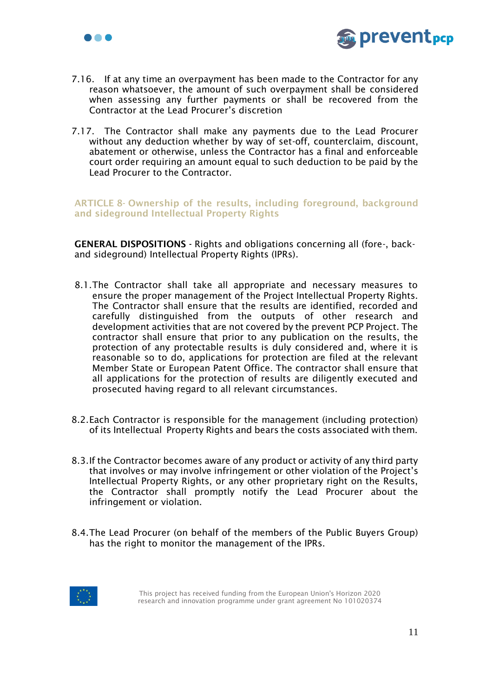



- 7.16. If at any time an overpayment has been made to the Contractor for any reason whatsoever, the amount of such overpayment shall be considered when assessing any further payments or shall be recovered from the Contractor at the Lead Procurer's discretion
- 7.17. The Contractor shall make any payments due to the Lead Procurer without any deduction whether by way of set-off, counterclaim, discount, abatement or otherwise, unless the Contractor has a final and enforceable court order requiring an amount equal to such deduction to be paid by the Lead Procurer to the Contractor.

ARTICLE 8- Ownership of the results, including foreground, background and sideground Intellectual Property Rights

GENERAL DISPOSITIONS - Rights and obligations concerning all (fore-, backand sideground) Intellectual Property Rights (IPRs).

- 8.1.The Contractor shall take all appropriate and necessary measures to ensure the proper management of the Project Intellectual Property Rights. The Contractor shall ensure that the results are identified, recorded and carefully distinguished from the outputs of other research and development activities that are not covered by the prevent PCP Project. The contractor shall ensure that prior to any publication on the results, the protection of any protectable results is duly considered and, where it is reasonable so to do, applications for protection are filed at the relevant Member State or European Patent Office. The contractor shall ensure that all applications for the protection of results are diligently executed and prosecuted having regard to all relevant circumstances.
- 8.2.Each Contractor is responsible for the management (including protection) of its Intellectual Property Rights and bears the costs associated with them.
- 8.3.If the Contractor becomes aware of any product or activity of any third party that involves or may involve infringement or other violation of the Project's Intellectual Property Rights, or any other proprietary right on the Results, the Contractor shall promptly notify the Lead Procurer about the infringement or violation.
- 8.4.The Lead Procurer (on behalf of the members of the Public Buyers Group) has the right to monitor the management of the IPRs.

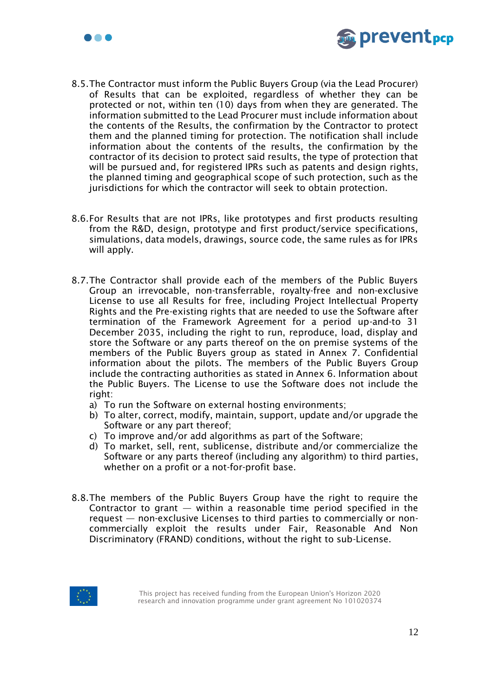



- 8.5.The Contractor must inform the Public Buyers Group (via the Lead Procurer) of Results that can be exploited, regardless of whether they can be protected or not, within ten (10) days from when they are generated. The information submitted to the Lead Procurer must include information about the contents of the Results, the confirmation by the Contractor to protect them and the planned timing for protection. The notification shall include information about the contents of the results, the confirmation by the contractor of its decision to protect said results, the type of protection that will be pursued and, for registered IPRs such as patents and design rights, the planned timing and geographical scope of such protection, such as the jurisdictions for which the contractor will seek to obtain protection.
- 8.6.For Results that are not IPRs, like prototypes and first products resulting from the R&D, design, prototype and first product/service specifications, simulations, data models, drawings, source code, the same rules as for IPRs will apply.
- 8.7.The Contractor shall provide each of the members of the Public Buyers Group an irrevocable, non-transferrable, royalty-free and non-exclusive License to use all Results for free, including Project Intellectual Property Rights and the Pre-existing rights that are needed to use the Software after termination of the Framework Agreement for a period up-and-to 31 December 2035, including the right to run, reproduce, load, display and store the Software or any parts thereof on the on premise systems of the members of the Public Buyers group as stated in Annex 7. Confidential information about the pilots. The members of the Public Buyers Group include the contracting authorities as stated in Annex 6. Information about the Public Buyers. The License to use the Software does not include the right:
	- a) To run the Software on external hosting environments;
	- b) To alter, correct, modify, maintain, support, update and/or upgrade the Software or any part thereof;
	- c) To improve and/or add algorithms as part of the Software;
	- d) To market, sell, rent, sublicense, distribute and/or commercialize the Software or any parts thereof (including any algorithm) to third parties, whether on a profit or a not-for-profit base.
- 8.8.The members of the Public Buyers Group have the right to require the Contractor to grant  $-$  within a reasonable time period specified in the request — non-exclusive Licenses to third parties to commercially or noncommercially exploit the results under Fair, Reasonable And Non Discriminatory (FRAND) conditions, without the right to sub-License.

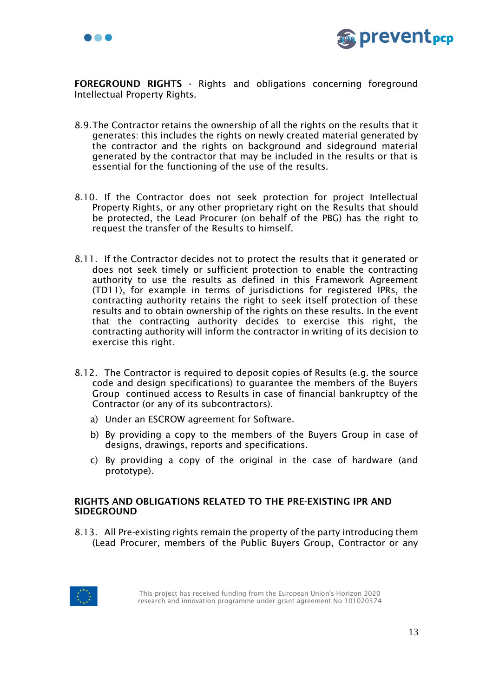



FOREGROUND RIGHTS - Rights and obligations concerning foreground Intellectual Property Rights.

- 8.9.The Contractor retains the ownership of all the rights on the results that it generates: this includes the rights on newly created material generated by the contractor and the rights on background and sideground material generated by the contractor that may be included in the results or that is essential for the functioning of the use of the results.
- 8.10. If the Contractor does not seek protection for project Intellectual Property Rights, or any other proprietary right on the Results that should be protected, the Lead Procurer (on behalf of the PBG) has the right to request the transfer of the Results to himself.
- 8.11. If the Contractor decides not to protect the results that it generated or does not seek timely or sufficient protection to enable the contracting authority to use the results as defined in this Framework Agreement (TD11), for example in terms of jurisdictions for registered IPRs, the contracting authority retains the right to seek itself protection of these results and to obtain ownership of the rights on these results. In the event that the contracting authority decides to exercise this right, the contracting authority will inform the contractor in writing of its decision to exercise this right.
- 8.12. The Contractor is required to deposit copies of Results (e.g. the source code and design specifications) to guarantee the members of the Buyers Group continued access to Results in case of financial bankruptcy of the Contractor (or any of its subcontractors).
	- a) Under an ESCROW agreement for Software.
	- b) By providing a copy to the members of the Buyers Group in case of designs, drawings, reports and specifications.
	- c) By providing a copy of the original in the case of hardware (and prototype).

### RIGHTS AND OBLIGATIONS RELATED TO THE PRE-EXISTING IPR AND SIDEGROUND

8.13. All Pre-existing rights remain the property of the party introducing them (Lead Procurer, members of the Public Buyers Group, Contractor or any

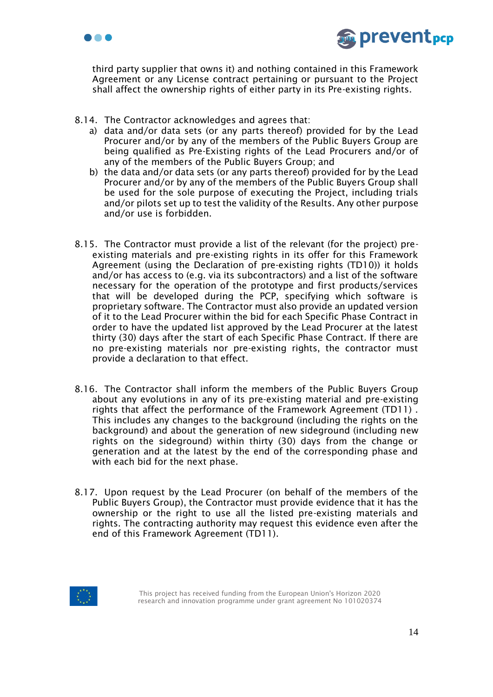



third party supplier that owns it) and nothing contained in this Framework Agreement or any License contract pertaining or pursuant to the Project shall affect the ownership rights of either party in its Pre-existing rights.

- 8.14. The Contractor acknowledges and agrees that:
	- a) data and/or data sets (or any parts thereof) provided for by the Lead Procurer and/or by any of the members of the Public Buyers Group are being qualified as Pre-Existing rights of the Lead Procurers and/or of any of the members of the Public Buyers Group; and
	- b) the data and/or data sets (or any parts thereof) provided for by the Lead Procurer and/or by any of the members of the Public Buyers Group shall be used for the sole purpose of executing the Project, including trials and/or pilots set up to test the validity of the Results. Any other purpose and/or use is forbidden.
- 8.15. The Contractor must provide a list of the relevant (for the project) preexisting materials and pre-existing rights in its offer for this Framework Agreement (using the Declaration of pre-existing rights (TD10)) it holds and/or has access to (e.g. via its subcontractors) and a list of the software necessary for the operation of the prototype and first products/services that will be developed during the PCP, specifying which software is proprietary software. The Contractor must also provide an updated version of it to the Lead Procurer within the bid for each Specific Phase Contract in order to have the updated list approved by the Lead Procurer at the latest thirty (30) days after the start of each Specific Phase Contract. If there are no pre-existing materials nor pre-existing rights, the contractor must provide a declaration to that effect.
- 8.16. The Contractor shall inform the members of the Public Buyers Group about any evolutions in any of its pre-existing material and pre-existing rights that affect the performance of the Framework Agreement (TD11) . This includes any changes to the background (including the rights on the background) and about the generation of new sideground (including new rights on the sideground) within thirty (30) days from the change or generation and at the latest by the end of the corresponding phase and with each bid for the next phase.
- 8.17. Upon request by the Lead Procurer (on behalf of the members of the Public Buyers Group), the Contractor must provide evidence that it has the ownership or the right to use all the listed pre-existing materials and rights. The contracting authority may request this evidence even after the end of this Framework Agreement (TD11).

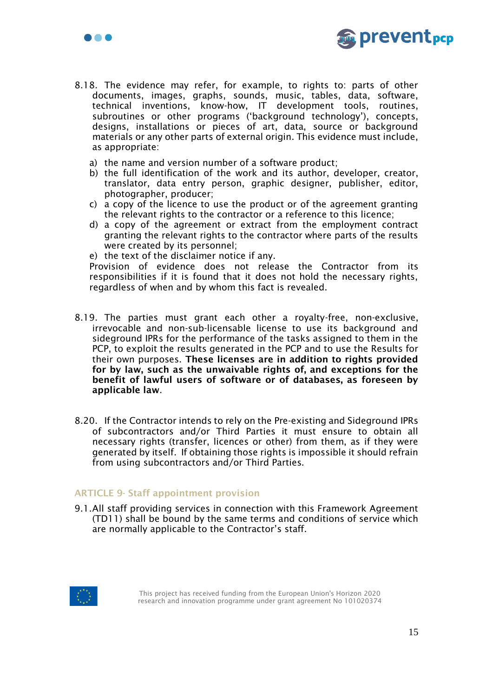

- 8.18. The evidence may refer, for example, to rights to: parts of other documents, images, graphs, sounds, music, tables, data, software, technical inventions, know-how, IT development tools, routines, subroutines or other programs ('background technology'), concepts, designs, installations or pieces of art, data, source or background materials or any other parts of external origin. This evidence must include, as appropriate:
	- a) the name and version number of a software product;
	- b) the full identification of the work and its author, developer, creator, translator, data entry person, graphic designer, publisher, editor, photographer, producer;
	- c) a copy of the licence to use the product or of the agreement granting the relevant rights to the contractor or a reference to this licence;
	- d) a copy of the agreement or extract from the employment contract granting the relevant rights to the contractor where parts of the results were created by its personnel;
	- e) the text of the disclaimer notice if any.

Provision of evidence does not release the Contractor from its responsibilities if it is found that it does not hold the necessary rights, regardless of when and by whom this fact is revealed.

- 8.19. The parties must grant each other a royalty-free, non-exclusive, irrevocable and non-sub-licensable license to use its background and sideground IPRs for the performance of the tasks assigned to them in the PCP, to exploit the results generated in the PCP and to use the Results for their own purposes. These licenses are in addition to rights provided for by law, such as the unwaivable rights of, and exceptions for the benefit of lawful users of software or of databases, as foreseen by applicable law.
- 8.20. If the Contractor intends to rely on the Pre-existing and Sideground IPRs of subcontractors and/or Third Parties it must ensure to obtain all necessary rights (transfer, licences or other) from them, as if they were generated by itself. If obtaining those rights is impossible it should refrain from using subcontractors and/or Third Parties.

### ARTICLE 9- Staff appointment provision

9.1.All staff providing services in connection with this Framework Agreement (TD11) shall be bound by the same terms and conditions of service which are normally applicable to the Contractor's staff.



 $\bullet\bullet\bullet$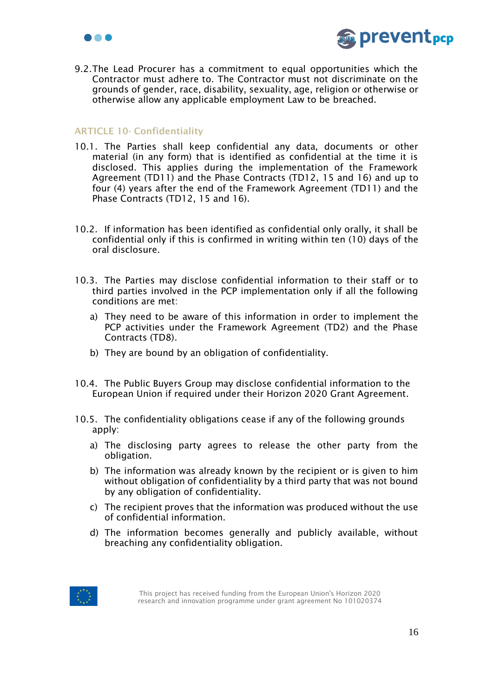



9.2.The Lead Procurer has a commitment to equal opportunities which the Contractor must adhere to. The Contractor must not discriminate on the grounds of gender, race, disability, sexuality, age, religion or otherwise or otherwise allow any applicable employment Law to be breached.

## <span id="page-15-0"></span>ARTICLE 10- Confidentiality

- 10.1. The Parties shall keep confidential any data, documents or other material (in any form) that is identified as confidential at the time it is disclosed. This applies during the implementation of the Framework Agreement (TD11) and the Phase Contracts (TD12, 15 and 16) and up to four (4) years after the end of the Framework Agreement (TD11) and the Phase Contracts (TD12, 15 and 16).
- 10.2. If information has been identified as confidential only orally, it shall be confidential only if this is confirmed in writing within ten (10) days of the oral disclosure.
- 10.3. The Parties may disclose confidential information to their staff or to third parties involved in the PCP implementation only if all the following conditions are met:
	- a) They need to be aware of this information in order to implement the PCP activities under the Framework Agreement (TD2) and the Phase Contracts (TD8).
	- b) They are bound by an obligation of confidentiality.
- 10.4. The Public Buyers Group may disclose confidential information to the European Union if required under their Horizon 2020 Grant Agreement.
- 10.5. The confidentiality obligations cease if any of the following grounds apply:
	- a) The disclosing party agrees to release the other party from the obligation.
	- b) The information was already known by the recipient or is given to him without obligation of confidentiality by a third party that was not bound by any obligation of confidentiality.
	- c) The recipient proves that the information was produced without the use of confidential information.
	- d) The information becomes generally and publicly available, without breaching any confidentiality obligation.

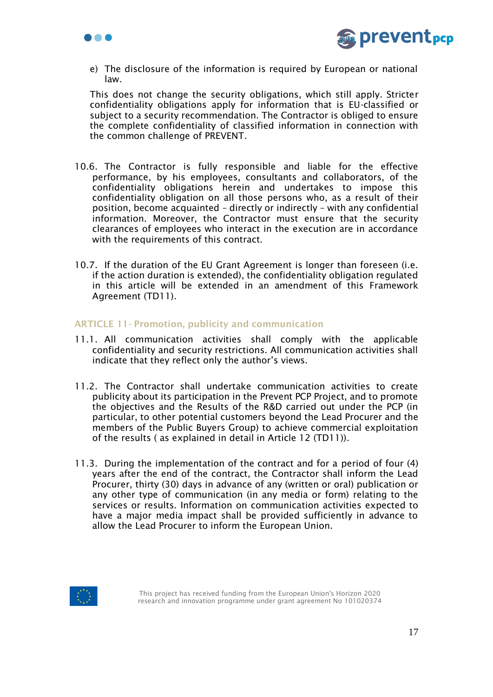



e) The disclosure of the information is required by European or national law.

This does not change the security obligations, which still apply. Stricter confidentiality obligations apply for information that is EU-classified or subject to a security recommendation. The Contractor is obliged to ensure the complete confidentiality of classified information in connection with the common challenge of PREVENT.

- 10.6. The Contractor is fully responsible and liable for the effective performance, by his employees, consultants and collaborators, of the confidentiality obligations herein and undertakes to impose this confidentiality obligation on all those persons who, as a result of their position, become acquainted – directly or indirectly – with any confidential information. Moreover, the Contractor must ensure that the security clearances of employees who interact in the execution are in accordance with the requirements of this contract.
- 10.7. If the duration of the EU Grant Agreement is longer than foreseen (i.e. if the action duration is extended), the confidentiality obligation regulated in this article will be extended in an amendment of this Framework Agreement (TD11).

## ARTICLE 11- Promotion, publicity and communication

- 11.1. All communication activities shall comply with the applicable confidentiality and security restrictions. All communication activities shall indicate that they reflect only the author's views.
- 11.2. The Contractor shall undertake communication activities to create publicity about its participation in the Prevent PCP Project, and to promote the objectives and the Results of the R&D carried out under the PCP (in particular, to other potential customers beyond the Lead Procurer and the members of the Public Buyers Group) to achieve commercial exploitation of the results ( as explained in detail in Article 12 (TD11)).
- 11.3. During the implementation of the contract and for a period of four (4) years after the end of the contract, the Contractor shall inform the Lead Procurer, thirty (30) days in advance of any (written or oral) publication or any other type of communication (in any media or form) relating to the services or results. Information on communication activities expected to have a major media impact shall be provided sufficiently in advance to allow the Lead Procurer to inform the European Union.

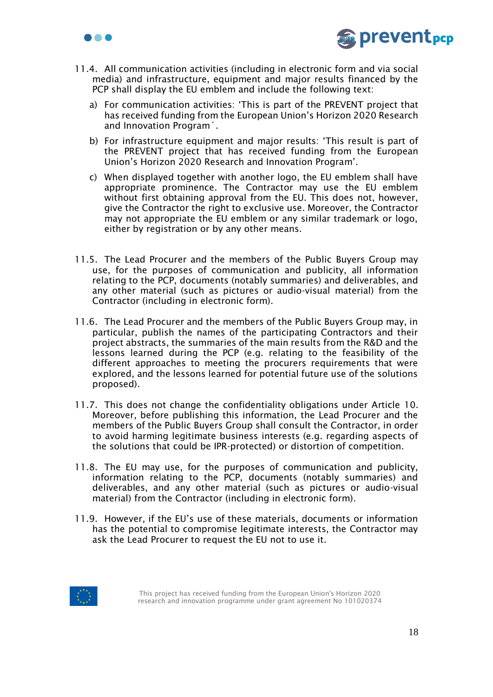



- 11.4. All communication activities (including in electronic form and via social media) and infrastructure, equipment and major results financed by the PCP shall display the EU emblem and include the following text:
	- a) For communication activities: 'This is part of the PREVENT project that has received funding from the European Union's Horizon 2020 Research and Innovation Program´.
	- b) For infrastructure equipment and major results: 'This result is part of the PREVENT project that has received funding from the European Union's Horizon 2020 Research and Innovation Program'.
	- c) When displayed together with another logo, the EU emblem shall have appropriate prominence. The Contractor may use the EU emblem without first obtaining approval from the EU. This does not, however, give the Contractor the right to exclusive use. Moreover, the Contractor may not appropriate the EU emblem or any similar trademark or logo, either by registration or by any other means.
- 11.5. The Lead Procurer and the members of the Public Buyers Group may use, for the purposes of communication and publicity, all information relating to the PCP, documents (notably summaries) and deliverables, and any other material (such as pictures or audio-visual material) from the Contractor (including in electronic form).
- 11.6. The Lead Procurer and the members of the Public Buyers Group may, in particular, publish the names of the participating Contractors and their project abstracts, the summaries of the main results from the R&D and the lessons learned during the PCP (e.g. relating to the feasibility of the different approaches to meeting the procurers requirements that were explored, and the lessons learned for potential future use of the solutions proposed).
- 11.7. This does not change the confidentiality obligations under Article 10. Moreover, before publishing this information, the Lead Procurer and the members of the Public Buyers Group shall consult the Contractor, in order to avoid harming legitimate business interests (e.g. regarding aspects of the solutions that could be IPR-protected) or distortion of competition.
- 11.8. The EU may use, for the purposes of communication and publicity, information relating to the PCP, documents (notably summaries) and deliverables, and any other material (such as pictures or audio-visual material) from the Contractor (including in electronic form).
- 11.9. However, if the EU's use of these materials, documents or information has the potential to compromise legitimate interests, the Contractor may ask the Lead Procurer to request the EU not to use it.

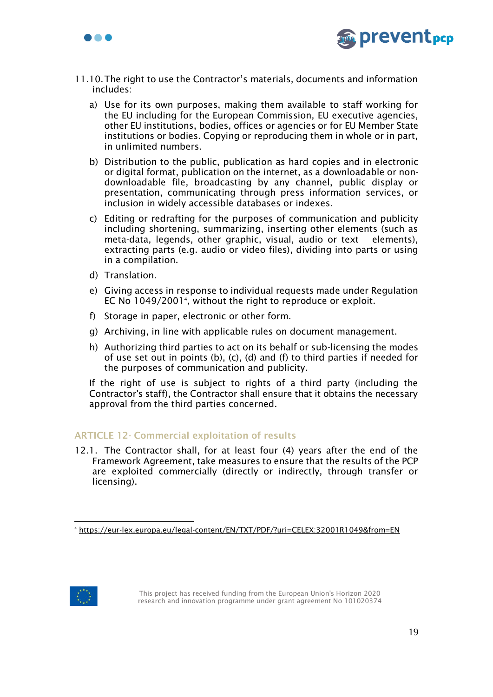



- 11.10.The right to use the Contractor's materials, documents and information includes:
	- a) Use for its own purposes, making them available to staff working for the EU including for the European Commission, EU executive agencies, other EU institutions, bodies, offices or agencies or for EU Member State institutions or bodies. Copying or reproducing them in whole or in part, in unlimited numbers.
	- b) Distribution to the public, publication as hard copies and in electronic or digital format, publication on the internet, as a downloadable or nondownloadable file, broadcasting by any channel, public display or presentation, communicating through press information services, or inclusion in widely accessible databases or indexes.
	- c) Editing or redrafting for the purposes of communication and publicity including shortening, summarizing, inserting other elements (such as meta-data, legends, other graphic, visual, audio or text elements), extracting parts (e.g. audio or video files), dividing into parts or using in a compilation.
	- d) Translation.
	- e) Giving access in response to individual requests made under Regulation EC No 1049/2001<sup>4</sup>, without the right to reproduce or exploit.
	- f) Storage in paper, electronic or other form.
	- g) Archiving, in line with applicable rules on document management.
	- h) Authorizing third parties to act on its behalf or sub-licensing the modes of use set out in points (b), (c), (d) and (f) to third parties if needed for the purposes of communication and publicity.

If the right of use is subject to rights of a third party (including the Contractor's staff), the Contractor shall ensure that it obtains the necessary approval from the third parties concerned.

### ARTICLE 12- Commercial exploitation of results

12.1. The Contractor shall, for at least four (4) years after the end of the Framework Agreement, take measures to ensure that the results of the PCP are exploited commercially (directly or indirectly, through transfer or licensing).



<sup>4</sup> <https://eur-lex.europa.eu/legal-content/EN/TXT/PDF/?uri=CELEX:32001R1049&from=EN>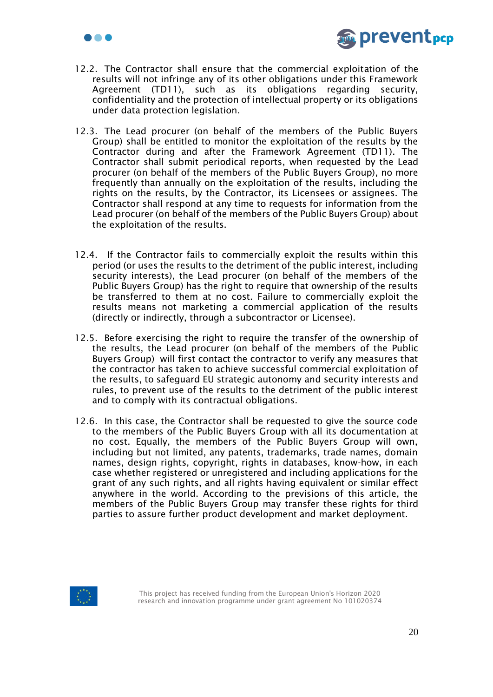



- 12.2. The Contractor shall ensure that the commercial exploitation of the results will not infringe any of its other obligations under this Framework Agreement (TD11), such as its obligations regarding security, confidentiality and the protection of intellectual property or its obligations under data protection legislation.
- 12.3. The Lead procurer (on behalf of the members of the Public Buyers Group) shall be entitled to monitor the exploitation of the results by the Contractor during and after the Framework Agreement (TD11). The Contractor shall submit periodical reports, when requested by the Lead procurer (on behalf of the members of the Public Buyers Group), no more frequently than annually on the exploitation of the results, including the rights on the results, by the Contractor, its Licensees or assignees. The Contractor shall respond at any time to requests for information from the Lead procurer (on behalf of the members of the Public Buyers Group) about the exploitation of the results.
- 12.4. If the Contractor fails to commercially exploit the results within this period (or uses the results to the detriment of the public interest, including security interests), the Lead procurer (on behalf of the members of the Public Buyers Group) has the right to require that ownership of the results be transferred to them at no cost. Failure to commercially exploit the results means not marketing a commercial application of the results (directly or indirectly, through a subcontractor or Licensee).
- 12.5. Before exercising the right to require the transfer of the ownership of the results, the Lead procurer (on behalf of the members of the Public Buyers Group) will first contact the contractor to verify any measures that the contractor has taken to achieve successful commercial exploitation of the results, to safeguard EU strategic autonomy and security interests and rules, to prevent use of the results to the detriment of the public interest and to comply with its contractual obligations.
- 12.6. In this case, the Contractor shall be requested to give the source code to the members of the Public Buyers Group with all its documentation at no cost. Equally, the members of the Public Buyers Group will own, including but not limited, any patents, trademarks, trade names, domain names, design rights, copyright, rights in databases, know-how, in each case whether registered or unregistered and including applications for the grant of any such rights, and all rights having equivalent or similar effect anywhere in the world. According to the previsions of this article, the members of the Public Buyers Group may transfer these rights for third parties to assure further product development and market deployment.

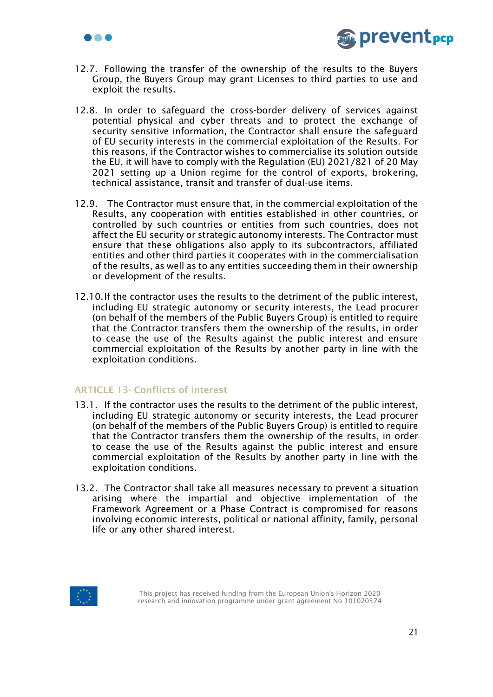



- 12.7. Following the transfer of the ownership of the results to the Buyers Group, the Buyers Group may grant Licenses to third parties to use and exploit the results.
- 12.8. In order to safeguard the cross-border delivery of services against potential physical and cyber threats and to protect the exchange of security sensitive information, the Contractor shall ensure the safeguard of EU security interests in the commercial exploitation of the Results. For this reasons, if the Contractor wishes to commercialise its solution outside the EU, it will have to comply with the Regulation (EU) 2021/821 of 20 May 2021 setting up a Union regime for the control of exports, brokering, technical assistance, transit and transfer of dual-use items.
- 12.9. The Contractor must ensure that, in the commercial exploitation of the Results, any cooperation with entities established in other countries, or controlled by such countries or entities from such countries, does not affect the EU security or strategic autonomy interests. The Contractor must ensure that these obligations also apply to its subcontractors, affiliated entities and other third parties it cooperates with in the commercialisation of the results, as well as to any entities succeeding them in their ownership or development of the results.
- 12.10.If the contractor uses the results to the detriment of the public interest, including EU strategic autonomy or security interests, the Lead procurer (on behalf of the members of the Public Buyers Group) is entitled to require that the Contractor transfers them the ownership of the results, in order to cease the use of the Results against the public interest and ensure commercial exploitation of the Results by another party in line with the exploitation conditions.

### ARTICLE 13- Conflicts of interest

- 13.1. If the contractor uses the results to the detriment of the public interest, including EU strategic autonomy or security interests, the Lead procurer (on behalf of the members of the Public Buyers Group) is entitled to require that the Contractor transfers them the ownership of the results, in order to cease the use of the Results against the public interest and ensure commercial exploitation of the Results by another party in line with the exploitation conditions.
- 13.2. The Contractor shall take all measures necessary to prevent a situation arising where the impartial and objective implementation of the Framework Agreement or a Phase Contract is compromised for reasons involving economic interests, political or national affinity, family, personal life or any other shared interest.

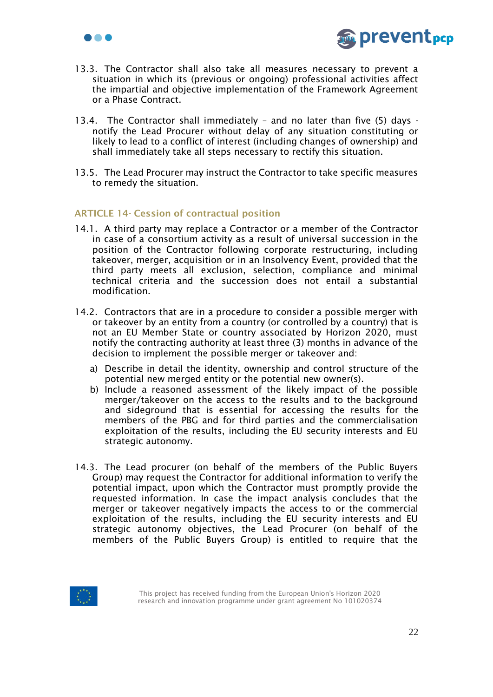



- 13.3. The Contractor shall also take all measures necessary to prevent a situation in which its (previous or ongoing) professional activities affect the impartial and objective implementation of the Framework Agreement or a Phase Contract.
- 13.4. The Contractor shall immediately and no later than five (5) days notify the Lead Procurer without delay of any situation constituting or likely to lead to a conflict of interest (including changes of ownership) and shall immediately take all steps necessary to rectify this situation.
- 13.5. The Lead Procurer may instruct the Contractor to take specific measures to remedy the situation.

## ARTICLE 14- Cession of contractual position

- 14.1. A third party may replace a Contractor or a member of the Contractor in case of a consortium activity as a result of universal succession in the position of the Contractor following corporate restructuring, including takeover, merger, acquisition or in an Insolvency Event, provided that the third party meets all exclusion, selection, compliance and minimal technical criteria and the succession does not entail a substantial modification.
- 14.2. Contractors that are in a procedure to consider a possible merger with or takeover by an entity from a country (or controlled by a country) that is not an EU Member State or country associated by Horizon 2020, must notify the contracting authority at least three (3) months in advance of the decision to implement the possible merger or takeover and:
	- a) Describe in detail the identity, ownership and control structure of the potential new merged entity or the potential new owner(s).
	- b) Include a reasoned assessment of the likely impact of the possible merger/takeover on the access to the results and to the background and sideground that is essential for accessing the results for the members of the PBG and for third parties and the commercialisation exploitation of the results, including the EU security interests and EU strategic autonomy.
- 14.3. The Lead procurer (on behalf of the members of the Public Buyers Group) may request the Contractor for additional information to verify the potential impact, upon which the Contractor must promptly provide the requested information. In case the impact analysis concludes that the merger or takeover negatively impacts the access to or the commercial exploitation of the results, including the EU security interests and EU strategic autonomy objectives, the Lead Procurer (on behalf of the members of the Public Buyers Group) is entitled to require that the

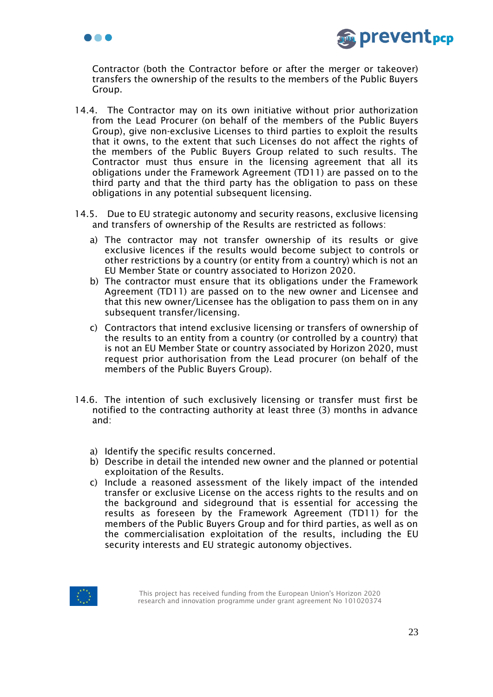



Contractor (both the Contractor before or after the merger or takeover) transfers the ownership of the results to the members of the Public Buyers Group.

- 14.4. The Contractor may on its own initiative without prior authorization from the Lead Procurer (on behalf of the members of the Public Buyers Group), give non-exclusive Licenses to third parties to exploit the results that it owns, to the extent that such Licenses do not affect the rights of the members of the Public Buyers Group related to such results. The Contractor must thus ensure in the licensing agreement that all its obligations under the Framework Agreement (TD11) are passed on to the third party and that the third party has the obligation to pass on these obligations in any potential subsequent licensing.
- 14.5. Due to EU strategic autonomy and security reasons, exclusive licensing and transfers of ownership of the Results are restricted as follows:
	- a) The contractor may not transfer ownership of its results or give exclusive licences if the results would become subject to controls or other restrictions by a country (or entity from a country) which is not an EU Member State or country associated to Horizon 2020.
	- b) The contractor must ensure that its obligations under the Framework Agreement (TD11) are passed on to the new owner and Licensee and that this new owner/Licensee has the obligation to pass them on in any subsequent transfer/licensing.
	- c) Contractors that intend exclusive licensing or transfers of ownership of the results to an entity from a country (or controlled by a country) that is not an EU Member State or country associated by Horizon 2020, must request prior authorisation from the Lead procurer (on behalf of the members of the Public Buyers Group).
- 14.6. The intention of such exclusively licensing or transfer must first be notified to the contracting authority at least three (3) months in advance and:
	- a) Identify the specific results concerned.
	- b) Describe in detail the intended new owner and the planned or potential exploitation of the Results.
	- c) Include a reasoned assessment of the likely impact of the intended transfer or exclusive License on the access rights to the results and on the background and sideground that is essential for accessing the results as foreseen by the Framework Agreement (TD11) for the members of the Public Buyers Group and for third parties, as well as on the commercialisation exploitation of the results, including the EU security interests and EU strategic autonomy objectives.

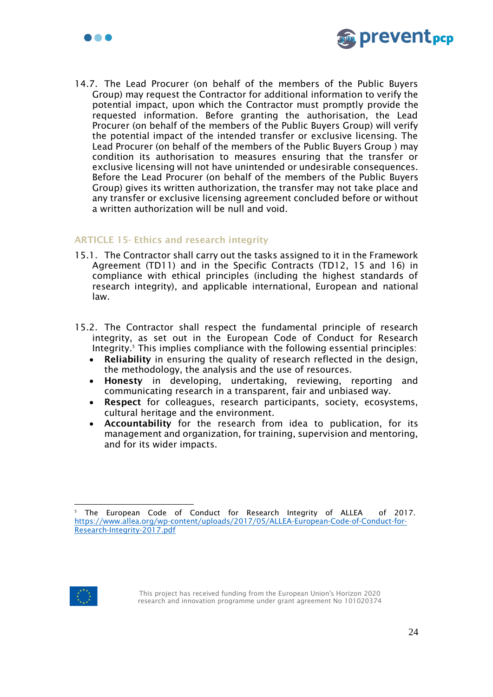



14.7. The Lead Procurer (on behalf of the members of the Public Buyers Group) may request the Contractor for additional information to verify the potential impact, upon which the Contractor must promptly provide the requested information. Before granting the authorisation, the Lead Procurer (on behalf of the members of the Public Buyers Group) will verify the potential impact of the intended transfer or exclusive licensing. The Lead Procurer (on behalf of the members of the Public Buyers Group ) may condition its authorisation to measures ensuring that the transfer or exclusive licensing will not have unintended or undesirable consequences. Before the Lead Procurer (on behalf of the members of the Public Buyers Group) gives its written authorization, the transfer may not take place and any transfer or exclusive licensing agreement concluded before or without a written authorization will be null and void.

## ARTICLE 15- Ethics and research integrity

- 15.1. The Contractor shall carry out the tasks assigned to it in the Framework Agreement (TD11) and in the Specific Contracts (TD12, 15 and 16) in compliance with ethical principles (including the highest standards of research integrity), and applicable international, European and national law.
- 15.2. The Contractor shall respect the fundamental principle of research integrity, as set out in the European Code of Conduct for Research Integrity.<sup>5</sup> This implies compliance with the following essential principles:
	- Reliability in ensuring the quality of research reflected in the design, the methodology, the analysis and the use of resources.
	- Honesty in developing, undertaking, reviewing, reporting and communicating research in a transparent, fair and unbiased way.
	- Respect for colleagues, research participants, society, ecosystems, cultural heritage and the environment.
	- Accountability for the research from idea to publication, for its management and organization, for training, supervision and mentoring, and for its wider impacts.



<sup>&</sup>lt;sup>5</sup> The European Code of Conduct for Research Integrity of ALLEA of 2017. [https://www.allea.org/wp-content/uploads/2017/05/ALLEA-European-Code-of-Conduct-for-](https://www.allea.org/wp-content/uploads/2017/05/ALLEA-European-Code-of-Conduct-for-Research-Integrity-2017.pdf)[Research-Integrity-2017.pdf](https://www.allea.org/wp-content/uploads/2017/05/ALLEA-European-Code-of-Conduct-for-Research-Integrity-2017.pdf)

This project has received funding from the European Union's Horizon 2020 research and innovation programme under grant agreement No 101020374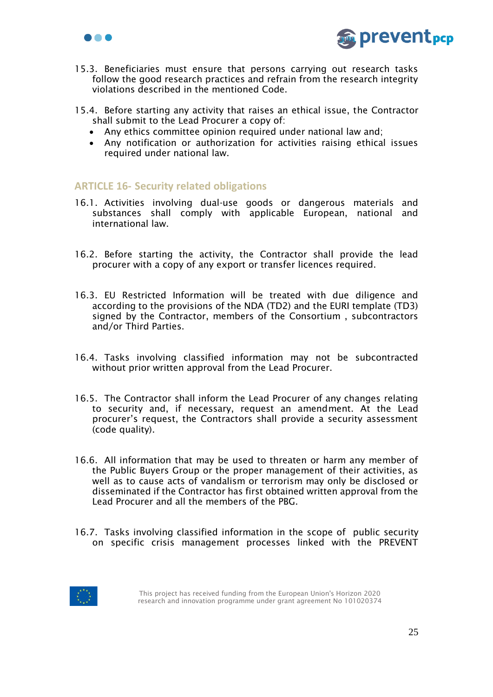



- 15.3. Beneficiaries must ensure that persons carrying out research tasks follow the good research practices and refrain from the research integrity violations described in the mentioned Code.
- 15.4. Before starting any activity that raises an ethical issue, the Contractor shall submit to the Lead Procurer a copy of:
	- Any ethics committee opinion required under national law and;
	- Any notification or authorization for activities raising ethical issues required under national law.

# **ARTICLE 16- Security related obligations**

- 16.1. Activities involving dual-use goods or dangerous materials and substances shall comply with applicable European, national and international law.
- 16.2. Before starting the activity, the Contractor shall provide the lead procurer with a copy of any export or transfer licences required.
- 16.3. EU Restricted Information will be treated with due diligence and according to the provisions of the NDA (TD2) and the EURI template (TD3) signed by the Contractor, members of the Consortium , subcontractors and/or Third Parties.
- 16.4. Tasks involving classified information may not be subcontracted without prior written approval from the Lead Procurer.
- 16.5. The Contractor shall inform the Lead Procurer of any changes relating to security and, if necessary, request an amendment. At the Lead procurer's request, the Contractors shall provide a security assessment (code quality).
- 16.6. All information that may be used to threaten or harm any member of the Public Buyers Group or the proper management of their activities, as well as to cause acts of vandalism or terrorism may only be disclosed or disseminated if the Contractor has first obtained written approval from the Lead Procurer and all the members of the PBG.
- 16.7. Tasks involving classified information in the scope of public security on specific crisis management processes linked with the PREVENT

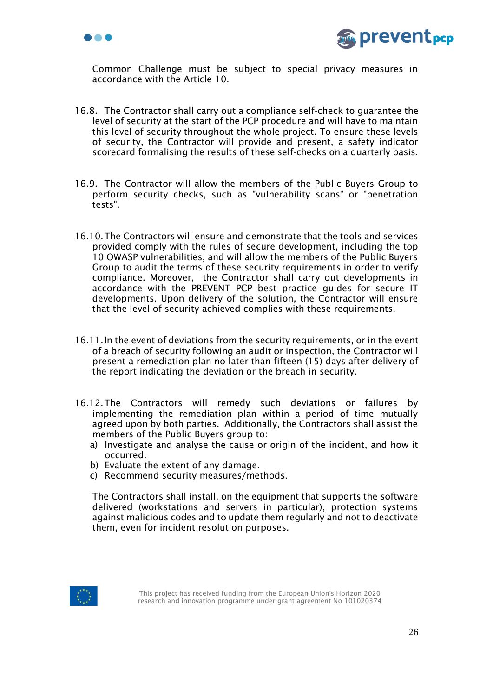



Common Challenge must be subject to special privacy measures in accordance with the Article 10.

- 16.8. The Contractor shall carry out a compliance self-check to guarantee the level of security at the start of the PCP procedure and will have to maintain this level of security throughout the whole project. To ensure these levels of security, the Contractor will provide and present, a safety indicator scorecard formalising the results of these self-checks on a quarterly basis.
- 16.9. The Contractor will allow the members of the Public Buyers Group to perform security checks, such as "vulnerability scans" or "penetration tests".
- 16.10.The Contractors will ensure and demonstrate that the tools and services provided comply with the rules of secure development, including the top 10 OWASP vulnerabilities, and will allow the members of the Public Buyers Group to audit the terms of these security requirements in order to verify compliance. Moreover, the Contractor shall carry out developments in accordance with the PREVENT PCP best practice guides for secure IT developments. Upon delivery of the solution, the Contractor will ensure that the level of security achieved complies with these requirements.
- 16.11.In the event of deviations from the security requirements, or in the event of a breach of security following an audit or inspection, the Contractor will present a remediation plan no later than fifteen (15) days after delivery of the report indicating the deviation or the breach in security.
- 16.12.The Contractors will remedy such deviations or failures by implementing the remediation plan within a period of time mutually agreed upon by both parties. Additionally, the Contractors shall assist the members of the Public Buyers group to:
	- a) Investigate and analyse the cause or origin of the incident, and how it occurred.
	- b) Evaluate the extent of any damage.
	- c) Recommend security measures/methods.

The Contractors shall install, on the equipment that supports the software delivered (workstations and servers in particular), protection systems against malicious codes and to update them regularly and not to deactivate them, even for incident resolution purposes.

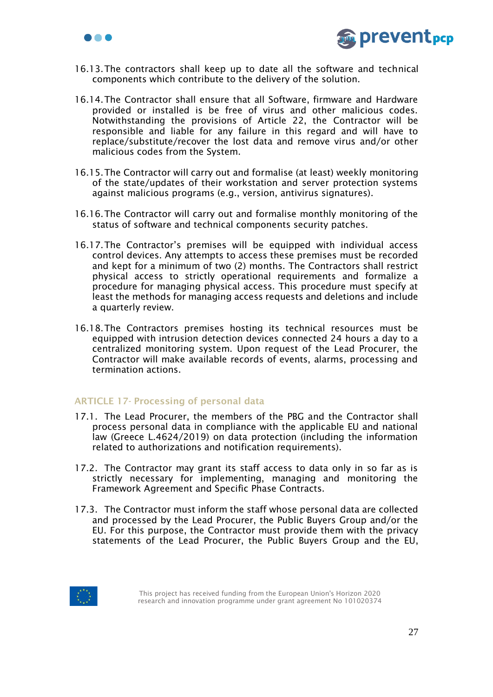



- 16.13.The contractors shall keep up to date all the software and technical components which contribute to the delivery of the solution.
- 16.14.The Contractor shall ensure that all Software, firmware and Hardware provided or installed is be free of virus and other malicious codes. Notwithstanding the provisions of Article 22, the Contractor will be responsible and liable for any failure in this regard and will have to replace/substitute/recover the lost data and remove virus and/or other malicious codes from the System.
- 16.15.The Contractor will carry out and formalise (at least) weekly monitoring of the state/updates of their workstation and server protection systems against malicious programs (e.g., version, antivirus signatures).
- 16.16.The Contractor will carry out and formalise monthly monitoring of the status of software and technical components security patches.
- 16.17.The Contractor's premises will be equipped with individual access control devices. Any attempts to access these premises must be recorded and kept for a minimum of two (2) months. The Contractors shall restrict physical access to strictly operational requirements and formalize a procedure for managing physical access. This procedure must specify at least the methods for managing access requests and deletions and include a quarterly review.
- 16.18.The Contractors premises hosting its technical resources must be equipped with intrusion detection devices connected 24 hours a day to a centralized monitoring system. Upon request of the Lead Procurer, the Contractor will make available records of events, alarms, processing and termination actions.

### ARTICLE 17- Processing of personal data

- 17.1. The Lead Procurer, the members of the PBG and the Contractor shall process personal data in compliance with the applicable EU and national law (Greece L.4624/2019) on data protection (including the information related to authorizations and notification requirements).
- 17.2. The Contractor may grant its staff access to data only in so far as is strictly necessary for implementing, managing and monitoring the Framework Agreement and Specific Phase Contracts.
- 17.3. The Contractor must inform the staff whose personal data are collected and processed by the Lead Procurer, the Public Buyers Group and/or the EU. For this purpose, the Contractor must provide them with the privacy statements of the Lead Procurer, the Public Buyers Group and the EU,

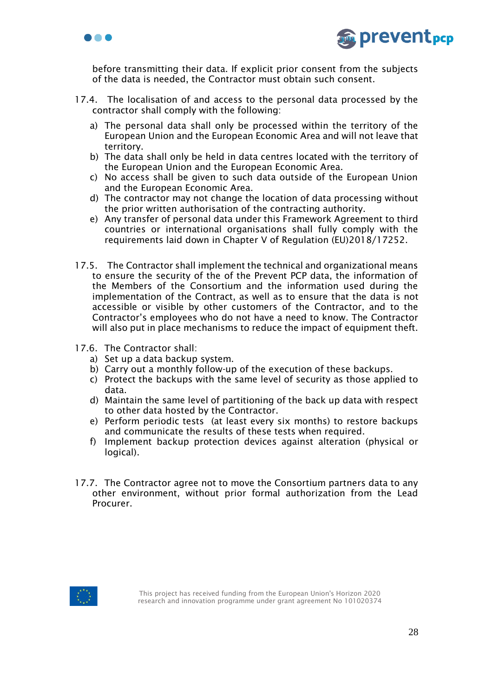



before transmitting their data. If explicit prior consent from the subjects of the data is needed, the Contractor must obtain such consent.

- 17.4. The localisation of and access to the personal data processed by the contractor shall comply with the following:
	- a) The personal data shall only be processed within the territory of the European Union and the European Economic Area and will not leave that territory.
	- b) The data shall only be held in data centres located with the territory of the European Union and the European Economic Area.
	- c) No access shall be given to such data outside of the European Union and the European Economic Area.
	- d) The contractor may not change the location of data processing without the prior written authorisation of the contracting authority.
	- e) Any transfer of personal data under this Framework Agreement to third countries or international organisations shall fully comply with the requirements laid down in Chapter V of Regulation (EU)2018/17252.
- 17.5. The Contractor shall implement the technical and organizational means to ensure the security of the of the Prevent PCP data, the information of the Members of the Consortium and the information used during the implementation of the Contract, as well as to ensure that the data is not accessible or visible by other customers of the Contractor, and to the Contractor's employees who do not have a need to know. The Contractor will also put in place mechanisms to reduce the impact of equipment theft.
- 17.6. The Contractor shall:
	- a) Set up a data backup system.
	- b) Carry out a monthly follow-up of the execution of these backups.
	- c) Protect the backups with the same level of security as those applied to data.
	- d) Maintain the same level of partitioning of the back up data with respect to other data hosted by the Contractor.
	- e) Perform periodic tests (at least every six months) to restore backups and communicate the results of these tests when required.
	- f) Implement backup protection devices against alteration (physical or logical).
- 17.7. The Contractor agree not to move the Consortium partners data to any other environment, without prior formal authorization from the Lead Procurer.

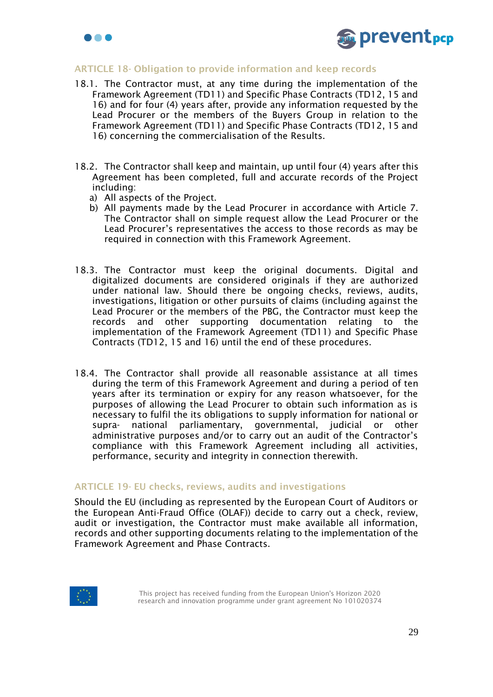



## ARTICLE 18- Obligation to provide information and keep records

- 18.1. The Contractor must, at any time during the implementation of the Framework Agreement (TD11) and Specific Phase Contracts (TD12, 15 and 16) and for four (4) years after, provide any information requested by the Lead Procurer or the members of the Buyers Group in relation to the Framework Agreement (TD11) and Specific Phase Contracts (TD12, 15 and 16) concerning the commercialisation of the Results.
- 18.2. The Contractor shall keep and maintain, up until four (4) years after this Agreement has been completed, full and accurate records of the Project including:
	- a) All aspects of the Project.
	- b) All payments made by the Lead Procurer in accordance with Article 7. The Contractor shall on simple request allow the Lead Procurer or the Lead Procurer's representatives the access to those records as may be required in connection with this Framework Agreement.
- 18.3. The Contractor must keep the original documents. Digital and digitalized documents are considered originals if they are authorized under national law. Should there be ongoing checks, reviews, audits, investigations, litigation or other pursuits of claims (including against the Lead Procurer or the members of the PBG, the Contractor must keep the records and other supporting documentation relating to the implementation of the Framework Agreement (TD11) and Specific Phase Contracts (TD12, 15 and 16) until the end of these procedures.
- 18.4. The Contractor shall provide all reasonable assistance at all times during the term of this Framework Agreement and during a period of ten years after its termination or expiry for any reason whatsoever, for the purposes of allowing the Lead Procurer to obtain such information as is necessary to fulfil the its obligations to supply information for national or supra- national parliamentary, governmental, judicial or other administrative purposes and/or to carry out an audit of the Contractor's compliance with this Framework Agreement including all activities, performance, security and integrity in connection therewith.

### ARTICLE 19- EU checks, reviews, audits and investigations

Should the EU (including as represented by the European Court of Auditors or the European Anti-Fraud Office (OLAF)) decide to carry out a check, review, audit or investigation, the Contractor must make available all information, records and other supporting documents relating to the implementation of the Framework Agreement and Phase Contracts.

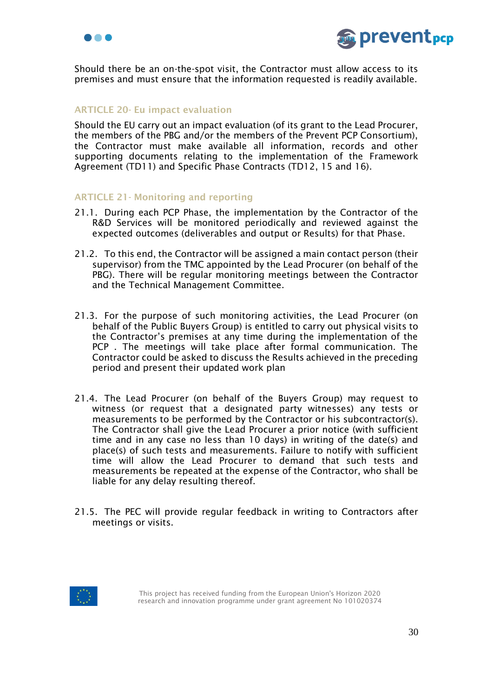



Should there be an on-the-spot visit, the Contractor must allow access to its premises and must ensure that the information requested is readily available.

# ARTICLE 20- Eu impact evaluation

Should the EU carry out an impact evaluation (of its grant to the Lead Procurer, the members of the PBG and/or the members of the Prevent PCP Consortium), the Contractor must make available all information, records and other supporting documents relating to the implementation of the Framework Agreement (TD11) and Specific Phase Contracts (TD12, 15 and 16).

#### ARTICLE 21- Monitoring and reporting

- 21.1. During each PCP Phase, the implementation by the Contractor of the R&D Services will be monitored periodically and reviewed against the expected outcomes (deliverables and output or Results) for that Phase.
- 21.2. To this end, the Contractor will be assigned a main contact person (their supervisor) from the TMC appointed by the Lead Procurer (on behalf of the PBG). There will be regular monitoring meetings between the Contractor and the Technical Management Committee.
- 21.3. For the purpose of such monitoring activities, the Lead Procurer (on behalf of the Public Buyers Group) is entitled to carry out physical visits to the Contractor's premises at any time during the implementation of the PCP . The meetings will take place after formal communication. The Contractor could be asked to discuss the Results achieved in the preceding period and present their updated work plan
- 21.4. The Lead Procurer (on behalf of the Buyers Group) may request to witness (or request that a designated party witnesses) any tests or measurements to be performed by the Contractor or his subcontractor(s). The Contractor shall give the Lead Procurer a prior notice (with sufficient time and in any case no less than 10 days) in writing of the date(s) and place(s) of such tests and measurements. Failure to notify with sufficient time will allow the Lead Procurer to demand that such tests and measurements be repeated at the expense of the Contractor, who shall be liable for any delay resulting thereof.
- 21.5. The PEC will provide regular feedback in writing to Contractors after meetings or visits.

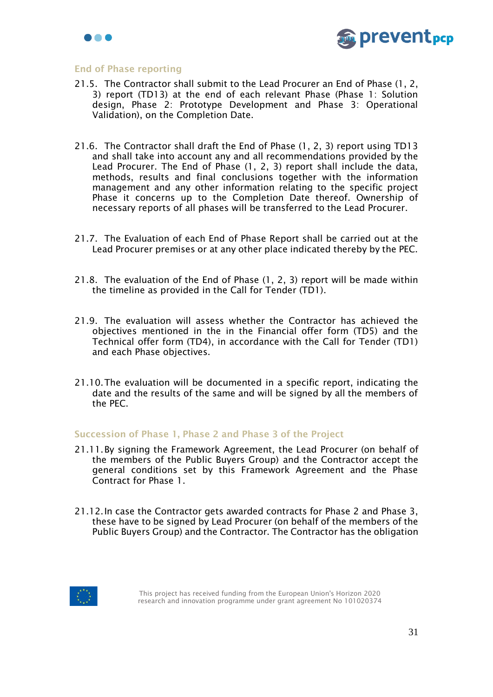



#### End of Phase reporting

- 21.5. The Contractor shall submit to the Lead Procurer an End of Phase (1, 2, 3) report (TD13) at the end of each relevant Phase (Phase 1: Solution design, Phase 2: Prototype Development and Phase 3: Operational Validation), on the Completion Date.
- 21.6. The Contractor shall draft the End of Phase (1, 2, 3) report using TD13 and shall take into account any and all recommendations provided by the Lead Procurer. The End of Phase (1, 2, 3) report shall include the data, methods, results and final conclusions together with the information management and any other information relating to the specific project Phase it concerns up to the Completion Date thereof. Ownership of necessary reports of all phases will be transferred to the Lead Procurer.
- 21.7. The Evaluation of each End of Phase Report shall be carried out at the Lead Procurer premises or at any other place indicated thereby by the PEC.
- 21.8. The evaluation of the End of Phase (1, 2, 3) report will be made within the timeline as provided in the Call for Tender (TD1).
- 21.9. The evaluation will assess whether the Contractor has achieved the objectives mentioned in the in the Financial offer form (TD5) and the Technical offer form (TD4), in accordance with the Call for Tender (TD1) and each Phase objectives.
- 21.10.The evaluation will be documented in a specific report, indicating the date and the results of the same and will be signed by all the members of the PEC.

#### Succession of Phase 1, Phase 2 and Phase 3 of the Project

- 21.11.By signing the Framework Agreement, the Lead Procurer (on behalf of the members of the Public Buyers Group) and the Contractor accept the general conditions set by this Framework Agreement and the Phase Contract for Phase 1.
- 21.12.In case the Contractor gets awarded contracts for Phase 2 and Phase 3, these have to be signed by Lead Procurer (on behalf of the members of the Public Buyers Group) and the Contractor. The Contractor has the obligation

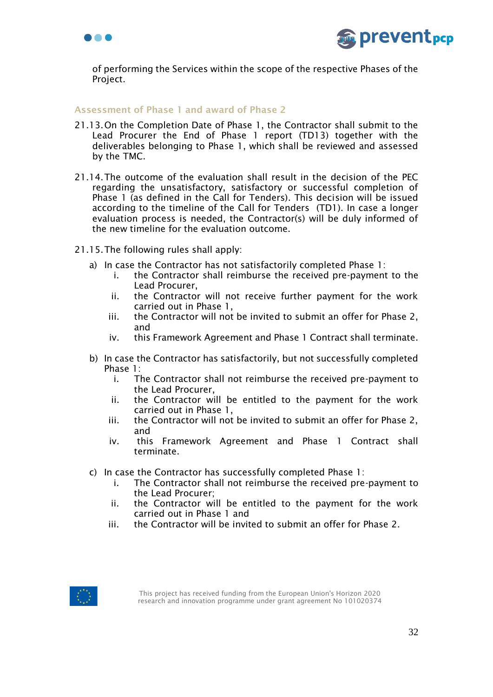



of performing the Services within the scope of the respective Phases of the Project.

# Assessment of Phase 1 and award of Phase 2

- 21.13.On the Completion Date of Phase 1, the Contractor shall submit to the Lead Procurer the End of Phase 1 report (TD13) together with the deliverables belonging to Phase 1, which shall be reviewed and assessed by the TMC.
- 21.14.The outcome of the evaluation shall result in the decision of the PEC regarding the unsatisfactory, satisfactory or successful completion of Phase 1 (as defined in the Call for Tenders). This decision will be issued according to the timeline of the Call for Tenders (TD1). In case a longer evaluation process is needed, the Contractor(s) will be duly informed of the new timeline for the evaluation outcome.
- 21.15.The following rules shall apply:
	- a) In case the Contractor has not satisfactorily completed Phase 1:
		- i. the Contractor shall reimburse the received pre-payment to the Lead Procurer,
		- ii. the Contractor will not receive further payment for the work carried out in Phase 1,
		- iii. the Contractor will not be invited to submit an offer for Phase 2, and
		- iv. this Framework Agreement and Phase 1 Contract shall terminate.
	- b) In case the Contractor has satisfactorily, but not successfully completed Phase 1:
		- i. The Contractor shall not reimburse the received pre-payment to the Lead Procurer,
		- ii. the Contractor will be entitled to the payment for the work carried out in Phase 1,
		- iii. the Contractor will not be invited to submit an offer for Phase 2, and
		- iv. this Framework Agreement and Phase 1 Contract shall terminate.
	- c) In case the Contractor has successfully completed Phase 1:
		- i. The Contractor shall not reimburse the received pre-payment to the Lead Procurer;
		- ii. the Contractor will be entitled to the payment for the work carried out in Phase 1 and
		- iii. the Contractor will be invited to submit an offer for Phase 2.

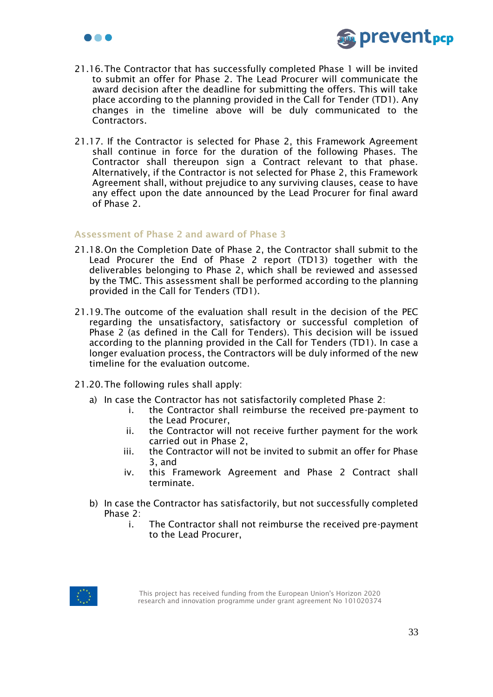



- 21.16.The Contractor that has successfully completed Phase 1 will be invited to submit an offer for Phase 2. The Lead Procurer will communicate the award decision after the deadline for submitting the offers. This will take place according to the planning provided in the Call for Tender (TD1). Any changes in the timeline above will be duly communicated to the Contractors.
- 21.17. If the Contractor is selected for Phase 2, this Framework Agreement shall continue in force for the duration of the following Phases. The Contractor shall thereupon sign a Contract relevant to that phase. Alternatively, if the Contractor is not selected for Phase 2, this Framework Agreement shall, without prejudice to any surviving clauses, cease to have any effect upon the date announced by the Lead Procurer for final award of Phase 2.

## Assessment of Phase 2 and award of Phase 3

- 21.18.On the Completion Date of Phase 2, the Contractor shall submit to the Lead Procurer the End of Phase 2 report (TD13) together with the deliverables belonging to Phase 2, which shall be reviewed and assessed by the TMC. This assessment shall be performed according to the planning provided in the Call for Tenders (TD1).
- 21.19.The outcome of the evaluation shall result in the decision of the PEC regarding the unsatisfactory, satisfactory or successful completion of Phase 2 (as defined in the Call for Tenders). This decision will be issued according to the planning provided in the Call for Tenders (TD1). In case a longer evaluation process, the Contractors will be duly informed of the new timeline for the evaluation outcome.
- 21.20.The following rules shall apply:
	- a) In case the Contractor has not satisfactorily completed Phase 2:
		- i. the Contractor shall reimburse the received pre-payment to the Lead Procurer,
		- ii. the Contractor will not receive further payment for the work carried out in Phase 2,
		- iii. the Contractor will not be invited to submit an offer for Phase 3, and
		- iv. this Framework Agreement and Phase 2 Contract shall terminate.
	- b) In case the Contractor has satisfactorily, but not successfully completed Phase 2:
		- i. The Contractor shall not reimburse the received pre-payment to the Lead Procurer,

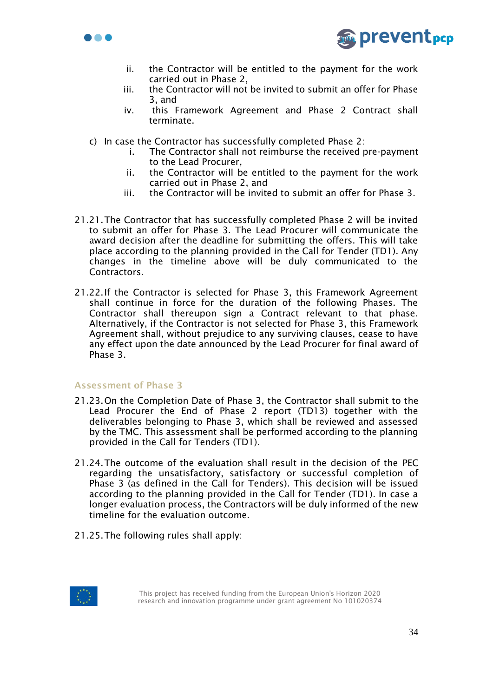



- ii. the Contractor will be entitled to the payment for the work carried out in Phase 2,
- iii. the Contractor will not be invited to submit an offer for Phase 3, and
- iv. this Framework Agreement and Phase 2 Contract shall terminate.
- c) In case the Contractor has successfully completed Phase 2:
	- i. The Contractor shall not reimburse the received pre-payment to the Lead Procurer,
	- ii. the Contractor will be entitled to the payment for the work carried out in Phase 2, and
	- iii. the Contractor will be invited to submit an offer for Phase 3.
- 21.21.The Contractor that has successfully completed Phase 2 will be invited to submit an offer for Phase 3. The Lead Procurer will communicate the award decision after the deadline for submitting the offers. This will take place according to the planning provided in the Call for Tender (TD1). Any changes in the timeline above will be duly communicated to the Contractors.
- 21.22.If the Contractor is selected for Phase 3, this Framework Agreement shall continue in force for the duration of the following Phases. The Contractor shall thereupon sign a Contract relevant to that phase. Alternatively, if the Contractor is not selected for Phase 3, this Framework Agreement shall, without prejudice to any surviving clauses, cease to have any effect upon the date announced by the Lead Procurer for final award of Phase 3.

### Assessment of Phase 3

- 21.23.On the Completion Date of Phase 3, the Contractor shall submit to the Lead Procurer the End of Phase 2 report (TD13) together with the deliverables belonging to Phase 3, which shall be reviewed and assessed by the TMC. This assessment shall be performed according to the planning provided in the Call for Tenders (TD1).
- 21.24.The outcome of the evaluation shall result in the decision of the PEC regarding the unsatisfactory, satisfactory or successful completion of Phase 3 (as defined in the Call for Tenders). This decision will be issued according to the planning provided in the Call for Tender (TD1). In case a longer evaluation process, the Contractors will be duly informed of the new timeline for the evaluation outcome.
- 21.25.The following rules shall apply:

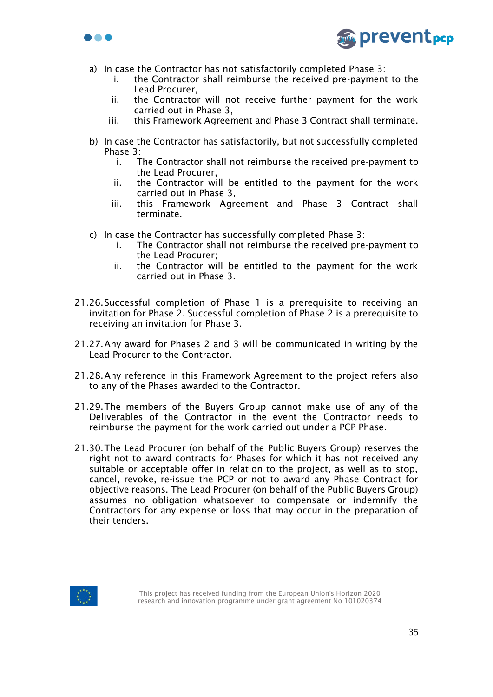



- a) In case the Contractor has not satisfactorily completed Phase 3:
	- i. the Contractor shall reimburse the received pre-payment to the Lead Procurer,
	- ii. the Contractor will not receive further payment for the work carried out in Phase 3,
	- iii. this Framework Agreement and Phase 3 Contract shall terminate.
- b) In case the Contractor has satisfactorily, but not successfully completed Phase 3:
	- i. The Contractor shall not reimburse the received pre-payment to the Lead Procurer,
	- ii. the Contractor will be entitled to the payment for the work carried out in Phase 3,
	- iii. this Framework Agreement and Phase 3 Contract shall terminate.
- c) In case the Contractor has successfully completed Phase 3:
	- i. The Contractor shall not reimburse the received pre-payment to the Lead Procurer;
	- ii. the Contractor will be entitled to the payment for the work carried out in Phase 3.
- 21.26.Successful completion of Phase 1 is a prerequisite to receiving an invitation for Phase 2. Successful completion of Phase 2 is a prerequisite to receiving an invitation for Phase 3.
- 21.27.Any award for Phases 2 and 3 will be communicated in writing by the Lead Procurer to the Contractor.
- 21.28.Any reference in this Framework Agreement to the project refers also to any of the Phases awarded to the Contractor.
- 21.29.The members of the Buyers Group cannot make use of any of the Deliverables of the Contractor in the event the Contractor needs to reimburse the payment for the work carried out under a PCP Phase.
- 21.30.The Lead Procurer (on behalf of the Public Buyers Group) reserves the right not to award contracts for Phases for which it has not received any suitable or acceptable offer in relation to the project, as well as to stop, cancel, revoke, re-issue the PCP or not to award any Phase Contract for objective reasons. The Lead Procurer (on behalf of the Public Buyers Group) assumes no obligation whatsoever to compensate or indemnify the Contractors for any expense or loss that may occur in the preparation of their tenders.

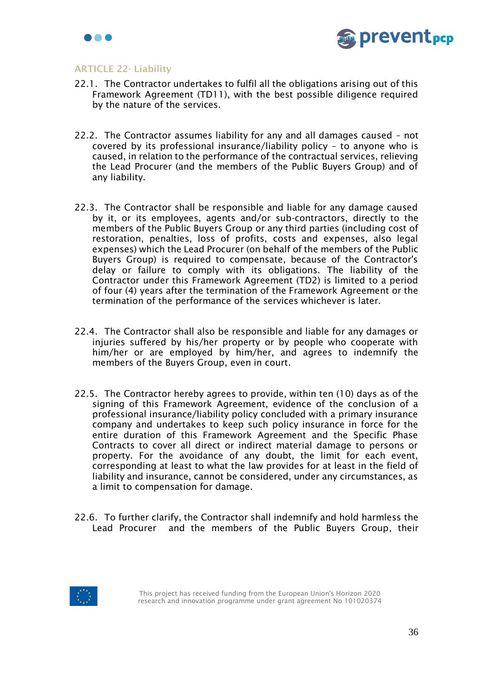



### ARTICLE 22- Liability

- 22.1. The Contractor undertakes to fulfil all the obligations arising out of this Framework Agreement (TD11), with the best possible diligence required by the nature of the services.
- 22.2. The Contractor assumes liability for any and all damages caused not covered by its professional insurance/liability policy – to anyone who is caused, in relation to the performance of the contractual services, relieving the Lead Procurer (and the members of the Public Buyers Group) and of any liability.
- 22.3. The Contractor shall be responsible and liable for any damage caused by it, or its employees, agents and/or sub-contractors, directly to the members of the Public Buyers Group or any third parties (including cost of restoration, penalties, loss of profits, costs and expenses, also legal expenses) which the Lead Procurer (on behalf of the members of the Public Buyers Group) is required to compensate, because of the Contractor's delay or failure to comply with its obligations. The liability of the Contractor under this Framework Agreement (TD2) is limited to a period of four (4) years after the termination of the Framework Agreement or the termination of the performance of the services whichever is later.
- 22.4. The Contractor shall also be responsible and liable for any damages or injuries suffered by his/her property or by people who cooperate with him/her or are employed by him/her, and agrees to indemnify the members of the Buyers Group, even in court.
- 22.5. The Contractor hereby agrees to provide, within ten (10) days as of the signing of this Framework Agreement, evidence of the conclusion of a professional insurance/liability policy concluded with a primary insurance company and undertakes to keep such policy insurance in force for the entire duration of this Framework Agreement and the Specific Phase Contracts to cover all direct or indirect material damage to persons or property. For the avoidance of any doubt, the limit for each event, corresponding at least to what the law provides for at least in the field of liability and insurance, cannot be considered, under any circumstances, as a limit to compensation for damage.
- 22.6. To further clarify, the Contractor shall indemnify and hold harmless the Lead Procurer and the members of the Public Buyers Group, their

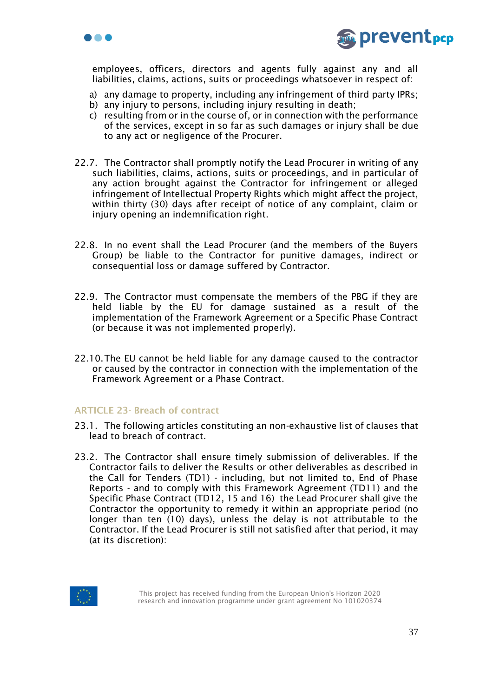



employees, officers, directors and agents fully against any and all liabilities, claims, actions, suits or proceedings whatsoever in respect of:

- a) any damage to property, including any infringement of third party IPRs;
- b) any injury to persons, including injury resulting in death;
- c) resulting from or in the course of, or in connection with the performance of the services, except in so far as such damages or injury shall be due to any act or negligence of the Procurer.
- 22.7. The Contractor shall promptly notify the Lead Procurer in writing of any such liabilities, claims, actions, suits or proceedings, and in particular of any action brought against the Contractor for infringement or alleged infringement of Intellectual Property Rights which might affect the project, within thirty (30) days after receipt of notice of any complaint, claim or injury opening an indemnification right.
- 22.8. In no event shall the Lead Procurer (and the members of the Buyers Group) be liable to the Contractor for punitive damages, indirect or consequential loss or damage suffered by Contractor.
- 22.9. The Contractor must compensate the members of the PBG if they are held liable by the EU for damage sustained as a result of the implementation of the Framework Agreement or a Specific Phase Contract (or because it was not implemented properly).
- 22.10.The EU cannot be held liable for any damage caused to the contractor or caused by the contractor in connection with the implementation of the Framework Agreement or a Phase Contract.

### ARTICLE 23- Breach of contract

- 23.1. The following articles constituting an non-exhaustive list of clauses that lead to breach of contract.
- 23.2. The Contractor shall ensure timely submission of deliverables. If the Contractor fails to deliver the Results or other deliverables as described in the Call for Tenders (TD1) - including, but not limited to, End of Phase Reports - and to comply with this Framework Agreement (TD11) and the Specific Phase Contract (TD12, 15 and 16) the Lead Procurer shall give the Contractor the opportunity to remedy it within an appropriate period (no longer than ten (10) days), unless the delay is not attributable to the Contractor. If the Lead Procurer is still not satisfied after that period, it may (at its discretion):

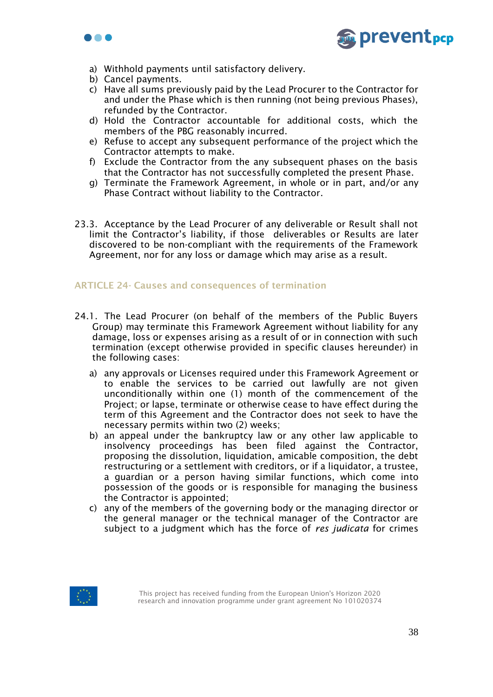



- a) Withhold payments until satisfactory delivery.
- b) Cancel payments.
- c) Have all sums previously paid by the Lead Procurer to the Contractor for and under the Phase which is then running (not being previous Phases), refunded by the Contractor.
- d) Hold the Contractor accountable for additional costs, which the members of the PBG reasonably incurred.
- e) Refuse to accept any subsequent performance of the project which the Contractor attempts to make.
- f) Exclude the Contractor from the any subsequent phases on the basis that the Contractor has not successfully completed the present Phase.
- g) Terminate the Framework Agreement, in whole or in part, and/or any Phase Contract without liability to the Contractor.
- 23.3. Acceptance by the Lead Procurer of any deliverable or Result shall not limit the Contractor's liability, if those deliverables or Results are later discovered to be non-compliant with the requirements of the Framework Agreement, nor for any loss or damage which may arise as a result.

# ARTICLE 24- Causes and consequences of termination

- 24.1. The Lead Procurer (on behalf of the members of the Public Buyers Group) may terminate this Framework Agreement without liability for any damage, loss or expenses arising as a result of or in connection with such termination (except otherwise provided in specific clauses hereunder) in the following cases:
	- a) any approvals or Licenses required under this Framework Agreement or to enable the services to be carried out lawfully are not given unconditionally within one (1) month of the commencement of the Project; or lapse, terminate or otherwise cease to have effect during the term of this Agreement and the Contractor does not seek to have the necessary permits within two (2) weeks;
	- b) an appeal under the bankruptcy law or any other law applicable to insolvency proceedings has been filed against the Contractor, proposing the dissolution, liquidation, amicable composition, the debt restructuring or a settlement with creditors, or if a liquidator, a trustee, a guardian or a person having similar functions, which come into possession of the goods or is responsible for managing the business the Contractor is appointed;
	- c) any of the members of the governing body or the managing director or the general manager or the technical manager of the Contractor are subject to a judgment which has the force of *res judicata* for crimes

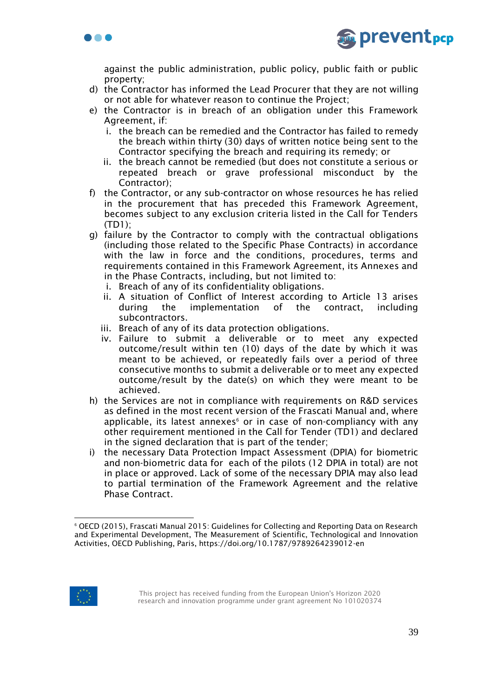



against the public administration, public policy, public faith or public property;

- d) the Contractor has informed the Lead Procurer that they are not willing or not able for whatever reason to continue the Project;
- e) the Contractor is in breach of an obligation under this Framework Agreement, if:
	- i. the breach can be remedied and the Contractor has failed to remedy the breach within thirty (30) days of written notice being sent to the Contractor specifying the breach and requiring its remedy; or
	- ii. the breach cannot be remedied (but does not constitute a serious or repeated breach or grave professional misconduct by the Contractor);
- f) the Contractor, or any sub-contractor on whose resources he has relied in the procurement that has preceded this Framework Agreement, becomes subject to any exclusion criteria listed in the Call for Tenders (TD1);
- g) failure by the Contractor to comply with the contractual obligations (including those related to the Specific Phase Contracts) in accordance with the law in force and the conditions, procedures, terms and requirements contained in this Framework Agreement, its Annexes and in the Phase Contracts, including, but not limited to:
	- i. Breach of any of its confidentiality obligations.
	- ii. A situation of Conflict of Interest according to Article 13 arises during the implementation of the contract, including subcontractors.
	- iii. Breach of any of its data protection obligations.
	- iv. Failure to submit a deliverable or to meet any expected outcome/result within ten (10) days of the date by which it was meant to be achieved, or repeatedly fails over a period of three consecutive months to submit a deliverable or to meet any expected outcome/result by the date(s) on which they were meant to be achieved.
- h) the Services are not in compliance with requirements on R&D services as defined in the most recent version of the Frascati Manual and, where applicable, its latest annexes<sup>6</sup> or in case of non-compliancy with any other requirement mentioned in the Call for Tender (TD1) and declared in the signed declaration that is part of the tender;
- i) the necessary Data Protection Impact Assessment (DPIA) for biometric and non-biometric data for each of the pilots (12 DPIA in total) are not in place or approved. Lack of some of the necessary DPIA may also lead to partial termination of the Framework Agreement and the relative Phase Contract.



<sup>6</sup> OECD (2015), Frascati Manual 2015: Guidelines for Collecting and Reporting Data on Research and Experimental Development, The Measurement of Scientific, Technological and Innovation Activities, OECD Publishing, Paris, https://doi.org/10.1787/9789264239012-en

This project has received funding from the European Union's Horizon 2020 research and innovation programme under grant agreement No 101020374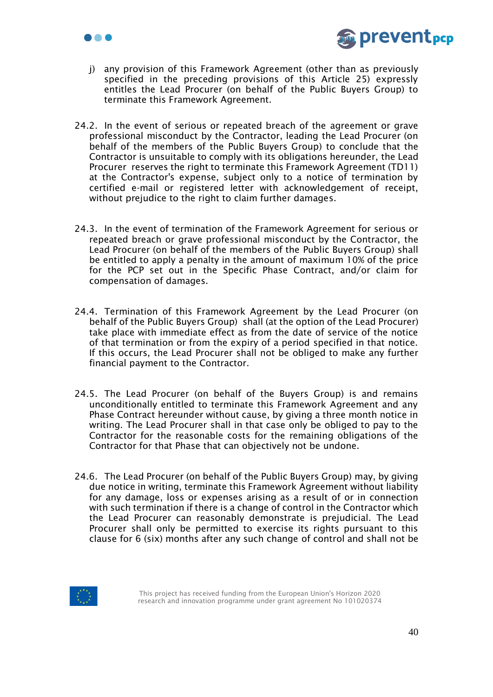



- j) any provision of this Framework Agreement (other than as previously specified in the preceding provisions of this Article 25) expressly entitles the Lead Procurer (on behalf of the Public Buyers Group) to terminate this Framework Agreement.
- 24.2. In the event of serious or repeated breach of the agreement or grave professional misconduct by the Contractor, leading the Lead Procurer (on behalf of the members of the Public Buyers Group) to conclude that the Contractor is unsuitable to comply with its obligations hereunder, the Lead Procurer reserves the right to terminate this Framework Agreement (TD11) at the Contractor's expense, subject only to a notice of termination by certified e-mail or registered letter with acknowledgement of receipt, without prejudice to the right to claim further damages.
- 24.3. In the event of termination of the Framework Agreement for serious or repeated breach or grave professional misconduct by the Contractor, the Lead Procurer (on behalf of the members of the Public Buyers Group) shall be entitled to apply a penalty in the amount of maximum 10% of the price for the PCP set out in the Specific Phase Contract, and/or claim for compensation of damages.
- 24.4. Termination of this Framework Agreement by the Lead Procurer (on behalf of the Public Buyers Group) shall (at the option of the Lead Procurer) take place with immediate effect as from the date of service of the notice of that termination or from the expiry of a period specified in that notice. If this occurs, the Lead Procurer shall not be obliged to make any further financial payment to the Contractor.
- 24.5. The Lead Procurer (on behalf of the Buyers Group) is and remains unconditionally entitled to terminate this Framework Agreement and any Phase Contract hereunder without cause, by giving a three month notice in writing. The Lead Procurer shall in that case only be obliged to pay to the Contractor for the reasonable costs for the remaining obligations of the Contractor for that Phase that can objectively not be undone.
- 24.6. The Lead Procurer (on behalf of the Public Buyers Group) may, by giving due notice in writing, terminate this Framework Agreement without liability for any damage, loss or expenses arising as a result of or in connection with such termination if there is a change of control in the Contractor which the Lead Procurer can reasonably demonstrate is prejudicial. The Lead Procurer shall only be permitted to exercise its rights pursuant to this clause for 6 (six) months after any such change of control and shall not be

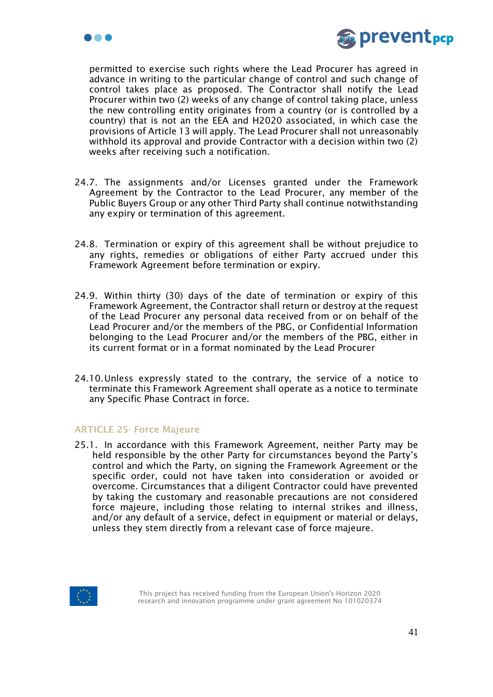



permitted to exercise such rights where the Lead Procurer has agreed in advance in writing to the particular change of control and such change of control takes place as proposed. The Contractor shall notify the Lead Procurer within two (2) weeks of any change of control taking place, unless the new controlling entity originates from a country (or is controlled by a country) that is not an the EEA and H2020 associated, in which case the provisions of Article 13 will apply. The Lead Procurer shall not unreasonably withhold its approval and provide Contractor with a decision within two (2) weeks after receiving such a notification.

- 24.7. The assignments and/or Licenses granted under the Framework Agreement by the Contractor to the Lead Procurer, any member of the Public Buyers Group or any other Third Party shall continue notwithstanding any expiry or termination of this agreement.
- 24.8. Termination or expiry of this agreement shall be without prejudice to any rights, remedies or obligations of either Party accrued under this Framework Agreement before termination or expiry.
- 24.9. Within thirty (30) days of the date of termination or expiry of this Framework Agreement, the Contractor shall return or destroy at the request of the Lead Procurer any personal data received from or on behalf of the Lead Procurer and/or the members of the PBG, or Confidential Information belonging to the Lead Procurer and/or the members of the PBG, either in its current format or in a format nominated by the Lead Procurer
- 24.10.Unless expressly stated to the contrary, the service of a notice to terminate this Framework Agreement shall operate as a notice to terminate any Specific Phase Contract in force.

### ARTICLE 25- Force Majeure

25.1. In accordance with this Framework Agreement, neither Party may be held responsible by the other Party for circumstances beyond the Party's control and which the Party, on signing the Framework Agreement or the specific order, could not have taken into consideration or avoided or overcome. Circumstances that a diligent Contractor could have prevented by taking the customary and reasonable precautions are not considered force majeure, including those relating to internal strikes and illness, and/or any default of a service, defect in equipment or material or delays, unless they stem directly from a relevant case of force majeure.

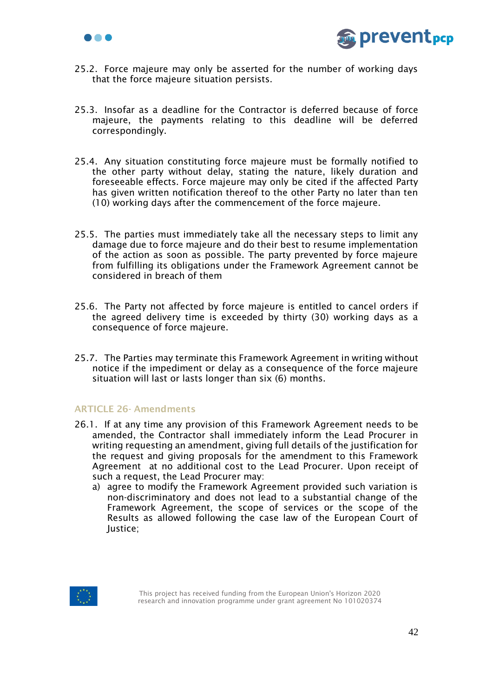



- 25.2. Force majeure may only be asserted for the number of working days that the force majeure situation persists.
- 25.3. Insofar as a deadline for the Contractor is deferred because of force majeure, the payments relating to this deadline will be deferred correspondingly.
- 25.4. Any situation constituting force majeure must be formally notified to the other party without delay, stating the nature, likely duration and foreseeable effects. Force majeure may only be cited if the affected Party has given written notification thereof to the other Party no later than ten (10) working days after the commencement of the force majeure.
- 25.5. The parties must immediately take all the necessary steps to limit any damage due to force majeure and do their best to resume implementation of the action as soon as possible. The party prevented by force majeure from fulfilling its obligations under the Framework Agreement cannot be considered in breach of them
- 25.6. The Party not affected by force majeure is entitled to cancel orders if the agreed delivery time is exceeded by thirty (30) working days as a consequence of force majeure.
- 25.7. The Parties may terminate this Framework Agreement in writing without notice if the impediment or delay as a consequence of the force majeure situation will last or lasts longer than six (6) months.

# ARTICLE 26- Amendments

- 26.1. If at any time any provision of this Framework Agreement needs to be amended, the Contractor shall immediately inform the Lead Procurer in writing requesting an amendment, giving full details of the justification for the request and giving proposals for the amendment to this Framework Agreement at no additional cost to the Lead Procurer. Upon receipt of such a request, the Lead Procurer may:
	- a) agree to modify the Framework Agreement provided such variation is non-discriminatory and does not lead to a substantial change of the Framework Agreement, the scope of services or the scope of the Results as allowed following the case law of the European Court of Justice;

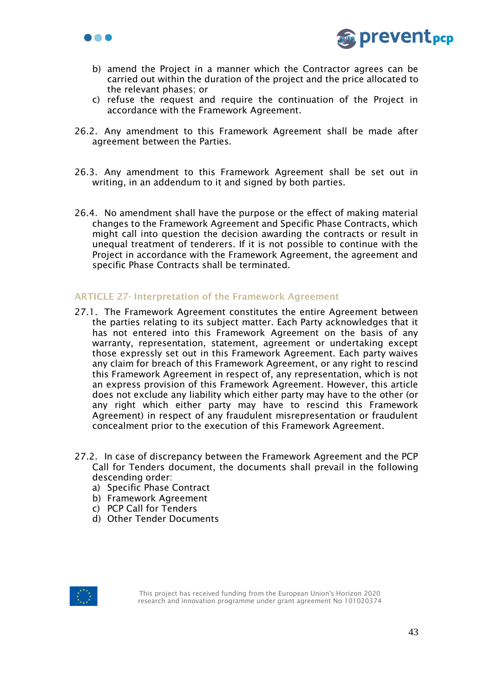



- b) amend the Project in a manner which the Contractor agrees can be carried out within the duration of the project and the price allocated to the relevant phases; or
- c) refuse the request and require the continuation of the Project in accordance with the Framework Agreement.
- 26.2. Any amendment to this Framework Agreement shall be made after agreement between the Parties.
- 26.3. Any amendment to this Framework Agreement shall be set out in writing, in an addendum to it and signed by both parties.
- 26.4. No amendment shall have the purpose or the effect of making material changes to the Framework Agreement and Specific Phase Contracts, which might call into question the decision awarding the contracts or result in unequal treatment of tenderers. If it is not possible to continue with the Project in accordance with the Framework Agreement, the agreement and specific Phase Contracts shall be terminated.

## ARTICLE 27- Interpretation of the Framework Agreement

- 27.1. The Framework Agreement constitutes the entire Agreement between the parties relating to its subject matter. Each Party acknowledges that it has not entered into this Framework Agreement on the basis of any warranty, representation, statement, agreement or undertaking except those expressly set out in this Framework Agreement. Each party waives any claim for breach of this Framework Agreement, or any right to rescind this Framework Agreement in respect of, any representation, which is not an express provision of this Framework Agreement. However, this article does not exclude any liability which either party may have to the other (or any right which either party may have to rescind this Framework Agreement) in respect of any fraudulent misrepresentation or fraudulent concealment prior to the execution of this Framework Agreement.
- 27.2. In case of discrepancy between the Framework Agreement and the PCP Call for Tenders document, the documents shall prevail in the following descending order:
	- a) Specific Phase Contract
	- b) Framework Agreement
	- c) PCP Call for Tenders
	- d) Other Tender Documents

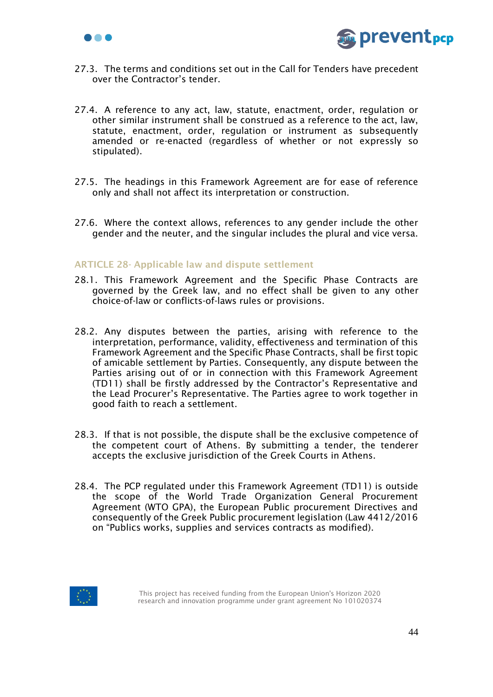



- 27.3. The terms and conditions set out in the Call for Tenders have precedent over the Contractor's tender.
- 27.4. A reference to any act, law, statute, enactment, order, regulation or other similar instrument shall be construed as a reference to the act, law, statute, enactment, order, regulation or instrument as subsequently amended or re-enacted (regardless of whether or not expressly so stipulated).
- 27.5. The headings in this Framework Agreement are for ease of reference only and shall not affect its interpretation or construction.
- 27.6. Where the context allows, references to any gender include the other gender and the neuter, and the singular includes the plural and vice versa.

## ARTICLE 28- Applicable law and dispute settlement

- 28.1. This Framework Agreement and the Specific Phase Contracts are governed by the Greek law, and no effect shall be given to any other choice-of-law or conflicts-of-laws rules or provisions.
- 28.2. Any disputes between the parties, arising with reference to the interpretation, performance, validity, effectiveness and termination of this Framework Agreement and the Specific Phase Contracts, shall be first topic of amicable settlement by Parties. Consequently, any dispute between the Parties arising out of or in connection with this Framework Agreement (TD11) shall be firstly addressed by the Contractor's Representative and the Lead Procurer's Representative. The Parties agree to work together in good faith to reach a settlement.
- 28.3. If that is not possible, the dispute shall be the exclusive competence of the competent court of Athens. By submitting a tender, the tenderer accepts the exclusive jurisdiction of the Greek Courts in Athens.
- 28.4. The PCP regulated under this Framework Agreement (TD11) is outside the scope of the World Trade Organization General Procurement Agreement (WTO GPA), the European Public procurement Directives and consequently of the Greek Public procurement legislation (Law 4412/2016 on "Publics works, supplies and services contracts as modified).

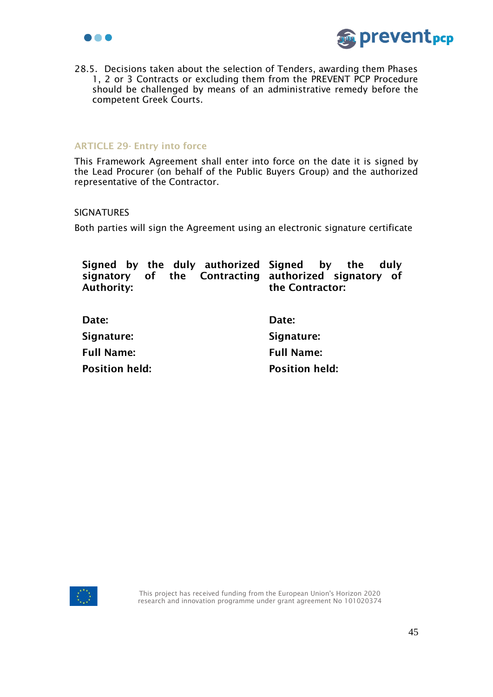



28.5. Decisions taken about the selection of Tenders, awarding them Phases 1, 2 or 3 Contracts or excluding them from the PREVENT PCP Procedure should be challenged by means of an administrative remedy before the competent Greek Courts.

### ARTICLE 29- Entry into force

This Framework Agreement shall enter into force on the date it is signed by the Lead Procurer (on behalf of the Public Buyers Group) and the authorized representative of the Contractor.

### SIGNATURES

Both parties will sign the Agreement using an electronic signature certificate

| Signed by the duly authorized Signed by the<br>signatory of the Contracting authorized signatory of<br><b>Authority:</b> | duly<br>the Contractor: |
|--------------------------------------------------------------------------------------------------------------------------|-------------------------|
| Date:                                                                                                                    | Date:                   |
| Signature:                                                                                                               | Signature:              |
| <b>Full Name:</b>                                                                                                        | <b>Full Name:</b>       |
| <b>Position held:</b>                                                                                                    | <b>Position held:</b>   |
|                                                                                                                          |                         |